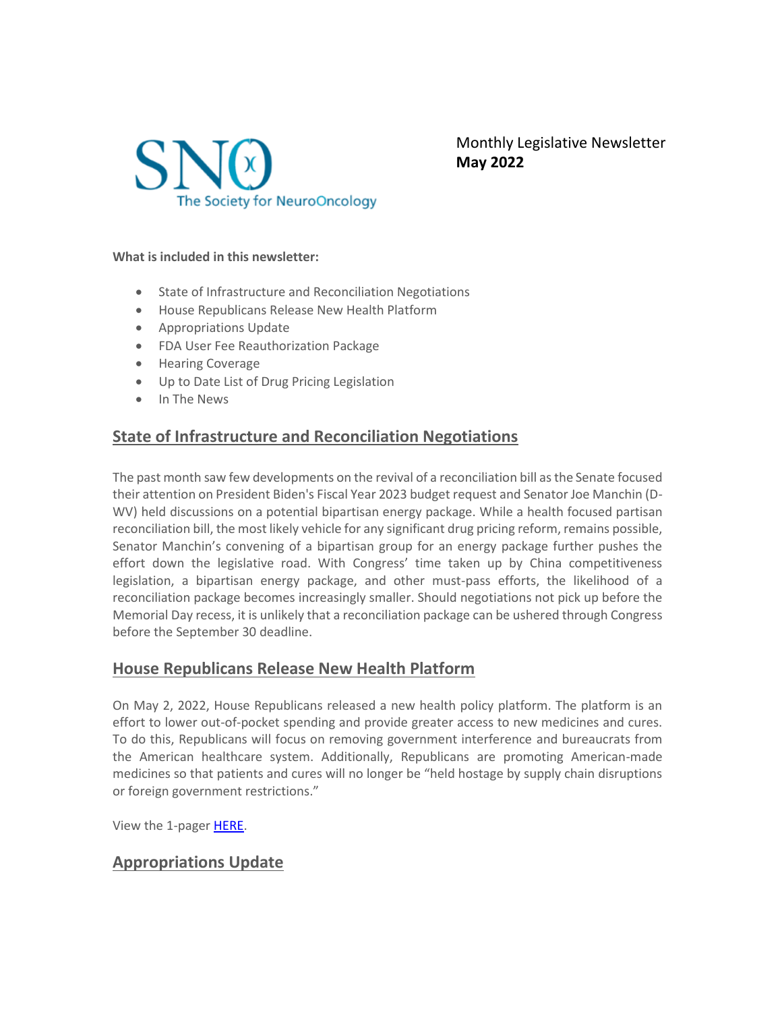

Monthly Legislative Newsletter **May 2022**

**What is included in this newsletter:**

- State of Infrastructure and Reconciliation Negotiations
- House Republicans Release New Health Platform
- Appropriations Update
- FDA User Fee Reauthorization Package
- Hearing Coverage
- Up to Date List of Drug Pricing Legislation
- In The News

# **State of Infrastructure and Reconciliation Negotiations**

The past month saw few developments on the revival of a reconciliation bill as the Senate focused their attention on President Biden's Fiscal Year 2023 budget request and Senator Joe Manchin (D-WV) held discussions on a potential bipartisan energy package. While a health focused partisan reconciliation bill, the most likely vehicle for any significant drug pricing reform, remains possible, Senator Manchin's convening of a bipartisan group for an energy package further pushes the effort down the legislative road. With Congress' time taken up by China competitiveness legislation, a bipartisan energy package, and other must-pass efforts, the likelihood of a reconciliation package becomes increasingly smaller. Should negotiations not pick up before the Memorial Day recess, it is unlikely that a reconciliation package can be ushered through Congress before the September 30 deadline.

# **House Republicans Release New Health Platform**

On May 2, 2022, House Republicans released a new health policy platform. The platform is an effort to lower out-of-pocket spending and provide greater access to new medicines and cures. To do this, Republicans will focus on removing government interference and bureaucrats from the American healthcare system. Additionally, Republicans are promoting American-made medicines so that patients and cures will no longer be "held hostage by supply chain disruptions or foreign government restrictions."

View the 1-pager [HERE.](https://republicanleader.house.gov/wp-content/uploads/2022/04/HFTF-2.pdf)

# **Appropriations Update**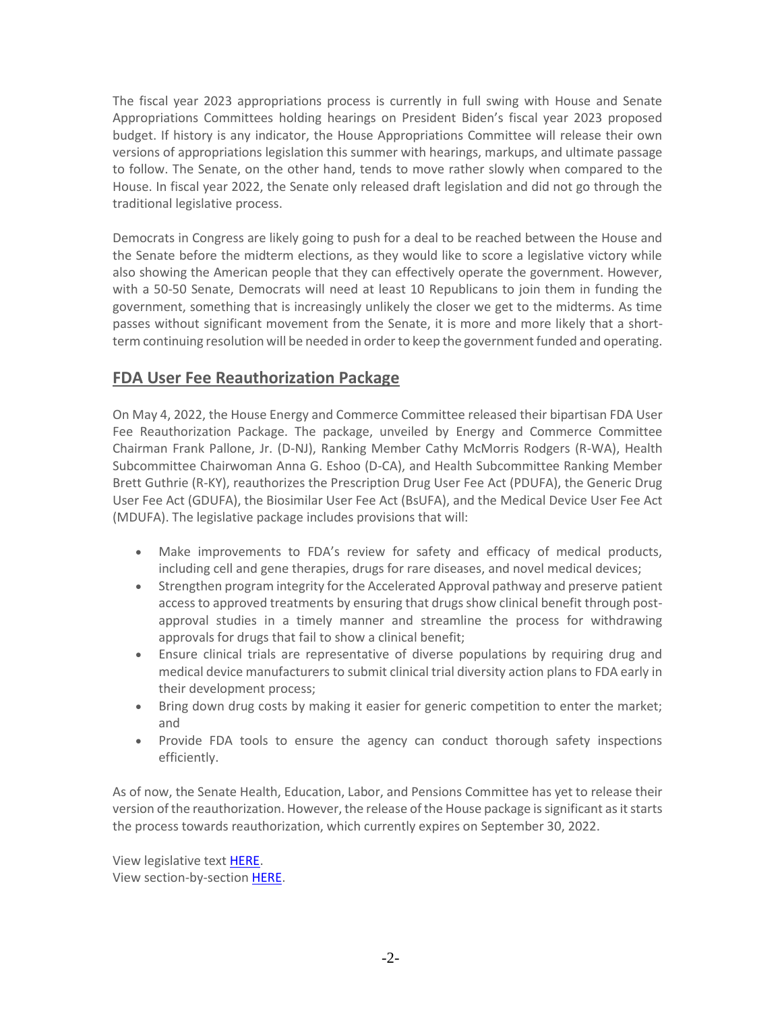The fiscal year 2023 appropriations process is currently in full swing with House and Senate Appropriations Committees holding hearings on President Biden's fiscal year 2023 proposed budget. If history is any indicator, the House Appropriations Committee will release their own versions of appropriations legislation this summer with hearings, markups, and ultimate passage to follow. The Senate, on the other hand, tends to move rather slowly when compared to the House. In fiscal year 2022, the Senate only released draft legislation and did not go through the traditional legislative process.

Democrats in Congress are likely going to push for a deal to be reached between the House and the Senate before the midterm elections, as they would like to score a legislative victory while also showing the American people that they can effectively operate the government. However, with a 50-50 Senate, Democrats will need at least 10 Republicans to join them in funding the government, something that is increasingly unlikely the closer we get to the midterms. As time passes without significant movement from the Senate, it is more and more likely that a shortterm continuing resolution will be needed in order to keep the government funded and operating.

# **FDA User Fee Reauthorization Package**

On May 4, 2022, the House Energy and Commerce Committee released their bipartisan FDA User Fee Reauthorization Package. The package, unveiled by Energy and Commerce Committee Chairman Frank Pallone, Jr. (D-NJ), Ranking Member Cathy McMorris Rodgers (R-WA), Health Subcommittee Chairwoman Anna G. Eshoo (D-CA), and Health Subcommittee Ranking Member Brett Guthrie (R-KY), reauthorizes the Prescription Drug User Fee Act (PDUFA), the Generic Drug User Fee Act (GDUFA), the Biosimilar User Fee Act (BsUFA), and the Medical Device User Fee Act (MDUFA). The legislative package includes provisions that will:

- Make improvements to FDA's review for safety and efficacy of medical products, including cell and gene therapies, drugs for rare diseases, and novel medical devices;
- Strengthen program integrity for the Accelerated Approval pathway and preserve patient access to approved treatments by ensuring that drugs show clinical benefit through postapproval studies in a timely manner and streamline the process for withdrawing approvals for drugs that fail to show a clinical benefit;
- Ensure clinical trials are representative of diverse populations by requiring drug and medical device manufacturers to submit clinical trial diversity action plans to FDA early in their development process;
- Bring down drug costs by making it easier for generic competition to enter the market; and
- Provide FDA tools to ensure the agency can conduct thorough safety inspections efficiently.

As of now, the Senate Health, Education, Labor, and Pensions Committee has yet to release their version of the reauthorization. However, the release of the House package is significant as it starts the process towards reauthorization, which currently expires on September 30, 2022.

View legislative text [HERE.](https://energycommerce.house.gov/sites/democrats.energycommerce.house.gov/files/documents/Food%20and%20Drug%20Amendments%20of%202022%205.4.2022.pdf) View section-by-section [HERE.](https://energycommerce.house.gov/sites/democrats.energycommerce.house.gov/files/documents/Section%20by%20Section_The%20Food%20and%20Drug%20Amendments%20of%202022_5.4.2022.pdf)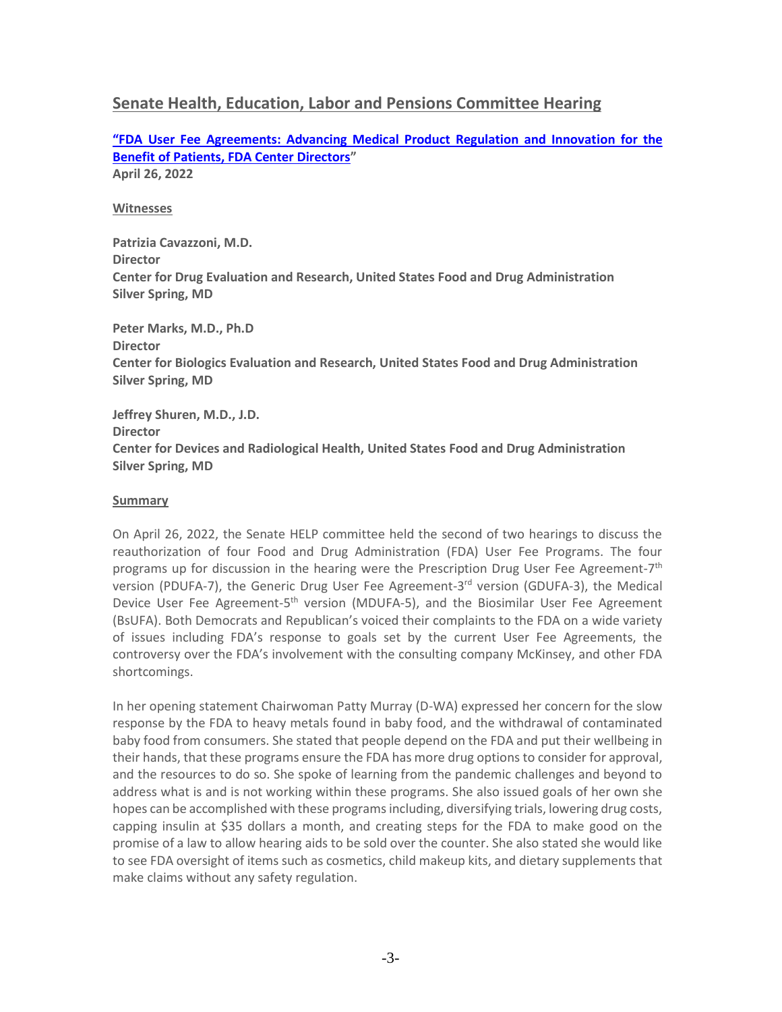# **Senate Health, Education, Labor and Pensions Committee Hearing**

**["FDA User Fee Agreements: Advancing Medical Product Regulation and Innovat](https://www.help.senate.gov/hearings/fda-user-fee-agreements-advancing-medical-product-regulation-and-innovation-for-the-benefit-of-patients-fda-center-directors)ion for the [Benefit of Patients, FDA Center Directors](https://www.help.senate.gov/hearings/fda-user-fee-agreements-advancing-medical-product-regulation-and-innovation-for-the-benefit-of-patients-fda-center-directors)" April 26, 2022**

#### **Witnesses**

**Patrizia Cavazzoni, M.D. Director Center for Drug Evaluation and Research, United States Food and Drug Administration Silver Spring, MD**

**Peter Marks, M.D., Ph.D Director Center for Biologics Evaluation and Research, United States Food and Drug Administration Silver Spring, MD**

**Jeffrey Shuren, M.D., J.D. Director Center for Devices and Radiological Health, United States Food and Drug Administration Silver Spring, MD**

#### **Summary**

On April 26, 2022, the Senate HELP committee held the second of two hearings to discuss the reauthorization of four Food and Drug Administration (FDA) User Fee Programs. The four programs up for discussion in the hearing were the Prescription Drug User Fee Agreement-7<sup>th</sup> version (PDUFA-7), the Generic Drug User Fee Agreement-3<sup>rd</sup> version (GDUFA-3), the Medical Device User Fee Agreement-5<sup>th</sup> version (MDUFA-5), and the Biosimilar User Fee Agreement (BsUFA). Both Democrats and Republican's voiced their complaints to the FDA on a wide variety of issues including FDA's response to goals set by the current User Fee Agreements, the controversy over the FDA's involvement with the consulting company McKinsey, and other FDA shortcomings.

In her opening statement Chairwoman Patty Murray (D-WA) expressed her concern for the slow response by the FDA to heavy metals found in baby food, and the withdrawal of contaminated baby food from consumers. She stated that people depend on the FDA and put their wellbeing in their hands, that these programs ensure the FDA has more drug options to consider for approval, and the resources to do so. She spoke of learning from the pandemic challenges and beyond to address what is and is not working within these programs. She also issued goals of her own she hopes can be accomplished with these programs including, diversifying trials, lowering drug costs, capping insulin at \$35 dollars a month, and creating steps for the FDA to make good on the promise of a law to allow hearing aids to be sold over the counter. She also stated she would like to see FDA oversight of items such as cosmetics, child makeup kits, and dietary supplements that make claims without any safety regulation.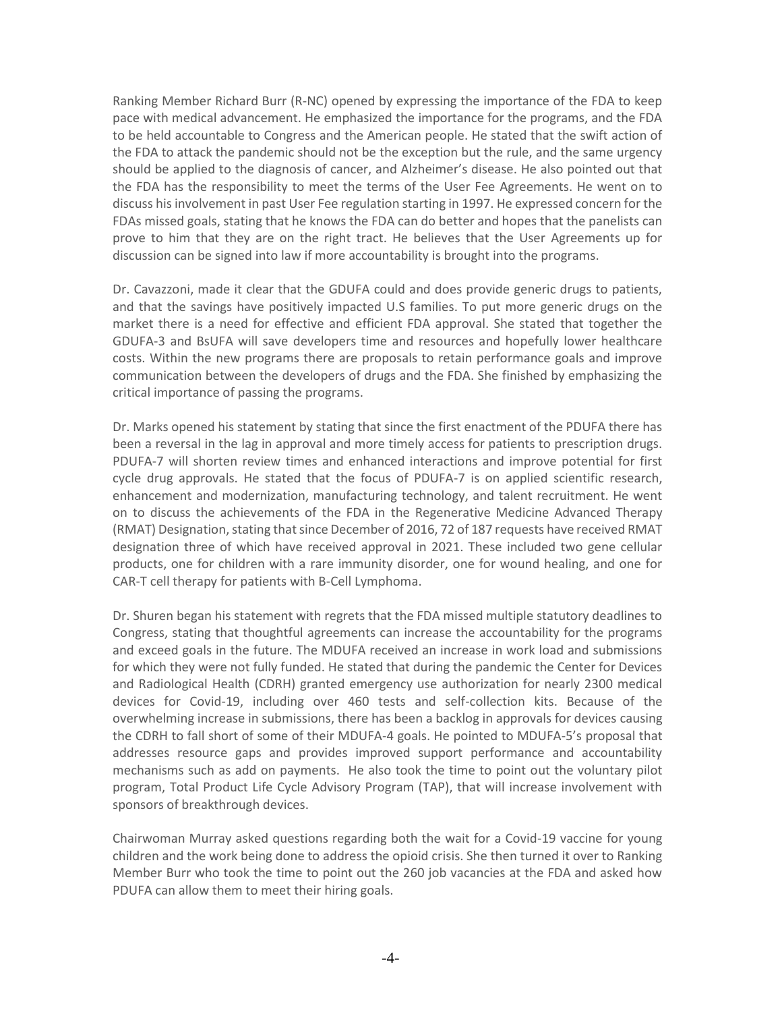Ranking Member Richard Burr (R-NC) opened by expressing the importance of the FDA to keep pace with medical advancement. He emphasized the importance for the programs, and the FDA to be held accountable to Congress and the American people. He stated that the swift action of the FDA to attack the pandemic should not be the exception but the rule, and the same urgency should be applied to the diagnosis of cancer, and Alzheimer's disease. He also pointed out that the FDA has the responsibility to meet the terms of the User Fee Agreements. He went on to discuss his involvement in past User Fee regulation starting in 1997. He expressed concern for the FDAs missed goals, stating that he knows the FDA can do better and hopes that the panelists can prove to him that they are on the right tract. He believes that the User Agreements up for discussion can be signed into law if more accountability is brought into the programs.

Dr. Cavazzoni, made it clear that the GDUFA could and does provide generic drugs to patients, and that the savings have positively impacted U.S families. To put more generic drugs on the market there is a need for effective and efficient FDA approval. She stated that together the GDUFA-3 and BsUFA will save developers time and resources and hopefully lower healthcare costs. Within the new programs there are proposals to retain performance goals and improve communication between the developers of drugs and the FDA. She finished by emphasizing the critical importance of passing the programs.

Dr. Marks opened his statement by stating that since the first enactment of the PDUFA there has been a reversal in the lag in approval and more timely access for patients to prescription drugs. PDUFA-7 will shorten review times and enhanced interactions and improve potential for first cycle drug approvals. He stated that the focus of PDUFA-7 is on applied scientific research, enhancement and modernization, manufacturing technology, and talent recruitment. He went on to discuss the achievements of the FDA in the Regenerative Medicine Advanced Therapy (RMAT) Designation, stating that since December of 2016, 72 of 187 requests have received RMAT designation three of which have received approval in 2021. These included two gene cellular products, one for children with a rare immunity disorder, one for wound healing, and one for CAR-T cell therapy for patients with B-Cell Lymphoma.

Dr. Shuren began his statement with regrets that the FDA missed multiple statutory deadlines to Congress, stating that thoughtful agreements can increase the accountability for the programs and exceed goals in the future. The MDUFA received an increase in work load and submissions for which they were not fully funded. He stated that during the pandemic the Center for Devices and Radiological Health (CDRH) granted emergency use authorization for nearly 2300 medical devices for Covid-19, including over 460 tests and self-collection kits. Because of the overwhelming increase in submissions, there has been a backlog in approvals for devices causing the CDRH to fall short of some of their MDUFA-4 goals. He pointed to MDUFA-5's proposal that addresses resource gaps and provides improved support performance and accountability mechanisms such as add on payments. He also took the time to point out the voluntary pilot program, Total Product Life Cycle Advisory Program (TAP), that will increase involvement with sponsors of breakthrough devices.

Chairwoman Murray asked questions regarding both the wait for a Covid-19 vaccine for young children and the work being done to address the opioid crisis. She then turned it over to Ranking Member Burr who took the time to point out the 260 job vacancies at the FDA and asked how PDUFA can allow them to meet their hiring goals.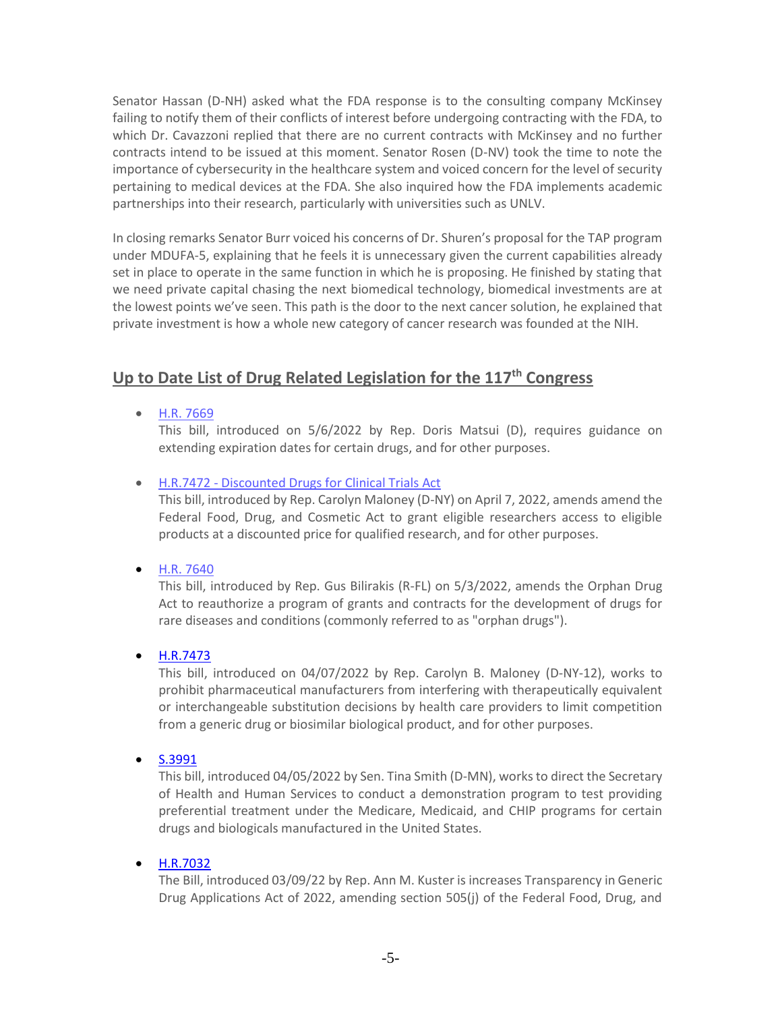Senator Hassan (D-NH) asked what the FDA response is to the consulting company McKinsey failing to notify them of their conflicts of interest before undergoing contracting with the FDA, to which Dr. Cavazzoni replied that there are no current contracts with McKinsey and no further contracts intend to be issued at this moment. Senator Rosen (D-NV) took the time to note the importance of cybersecurity in the healthcare system and voiced concern for the level of security pertaining to medical devices at the FDA. She also inquired how the FDA implements academic partnerships into their research, particularly with universities such as UNLV.

In closing remarks Senator Burr voiced his concerns of Dr. Shuren's proposal for the TAP program under MDUFA-5, explaining that he feels it is unnecessary given the current capabilities already set in place to operate in the same function in which he is proposing. He finished by stating that we need private capital chasing the next biomedical technology, biomedical investments are at the lowest points we've seen. This path is the door to the next cancer solution, he explained that private investment is how a whole new category of cancer research was founded at the NIH.

# **Up to Date List of Drug Related Legislation for the 117th Congress**

• [H.R. 7669](https://www.congress.gov/bill/117th-congress/house-bill/7669/text?q=%7B%22search%22%3A%5B%22congressId%3A117+AND+billStatus%3A%5C%22Introduced%5C%22%22%5D%7D&r=21&s=1)

This bill, introduced on 5/6/2022 by Rep. Doris Matsui (D), requires guidance on extending expiration dates for certain drugs, and for other purposes.

# • H.R.7472 - [Discounted Drugs for Clinical Trials Act](https://www.congress.gov/bill/117th-congress/house-bill/7472/text?q=%7B%22search%22%3A%5B%22congressId%3A117+AND+billStatus%3A%5C%22Introduced%5C%22%22%5D%7D&r=389&s=1)

This bill, introduced by Rep. Carolyn Maloney (D-NY) on April 7, 2022, amends amend the Federal Food, Drug, and Cosmetic Act to grant eligible researchers access to eligible products at a discounted price for qualified research, and for other purposes.

• [H.R. 7640](https://www.congress.gov/bill/117th-congress/house-bill/7640?q=%7B%22search%22%3A%5B%22congressId%3A117+AND+billStatus%3A%5C%22Introduced%5C%22%22%5D%7D&s=1&r=93)

This bill, introduced by Rep. Gus Bilirakis (R-FL) on 5/3/2022, amends the Orphan Drug Act to reauthorize a program of grants and contracts for the development of drugs for rare diseases and conditions (commonly referred to as "orphan drugs").

• [H.R.7473](https://www.congress.gov/bill/117th-congress/house-bill/7473/text?q=%7B%22search%22%3A%5B%22congressId%3A117+AND+billStatus%3A%5C%22Introduced%5C%22%22%5D%7D&r=16&s=1)

This bill, introduced on 04/07/2022 by Rep. Carolyn B. Maloney (D-NY-12), works to prohibit pharmaceutical manufacturers from interfering with therapeutically equivalent or interchangeable substitution decisions by health care providers to limit competition from a generic drug or biosimilar biological product, and for other purposes.

• [S.3991](https://www.congress.gov/bill/117th-congress/senate-bill/3991/text?q=%7B%22search%22%3A%5B%22congressId%3A117+AND+billStatus%3A%5C%22Introduced%5C%22%22%5D%7D&r=222&s=3)

This bill, introduced 04/05/2022 by Sen. Tina Smith (D-MN), works to direct the Secretary of Health and Human Services to conduct a demonstration program to test providing preferential treatment under the Medicare, Medicaid, and CHIP programs for certain drugs and biologicals manufactured in the United States.

# • [H.R.7032](https://www.congress.gov/bill/117th-congress/house-bill/7032?q=%7B%22search%22%3A%5B%22congressId%3A117+AND+billStatus%3A%5C%22Introduced%5C%22%22%5D%7D&s=10&r=889)

The Bill, introduced 03/09/22 by Rep. Ann M. Kuster is increases Transparency in Generic Drug Applications Act of 2022, amending section 505(j) of the Federal Food, Drug, and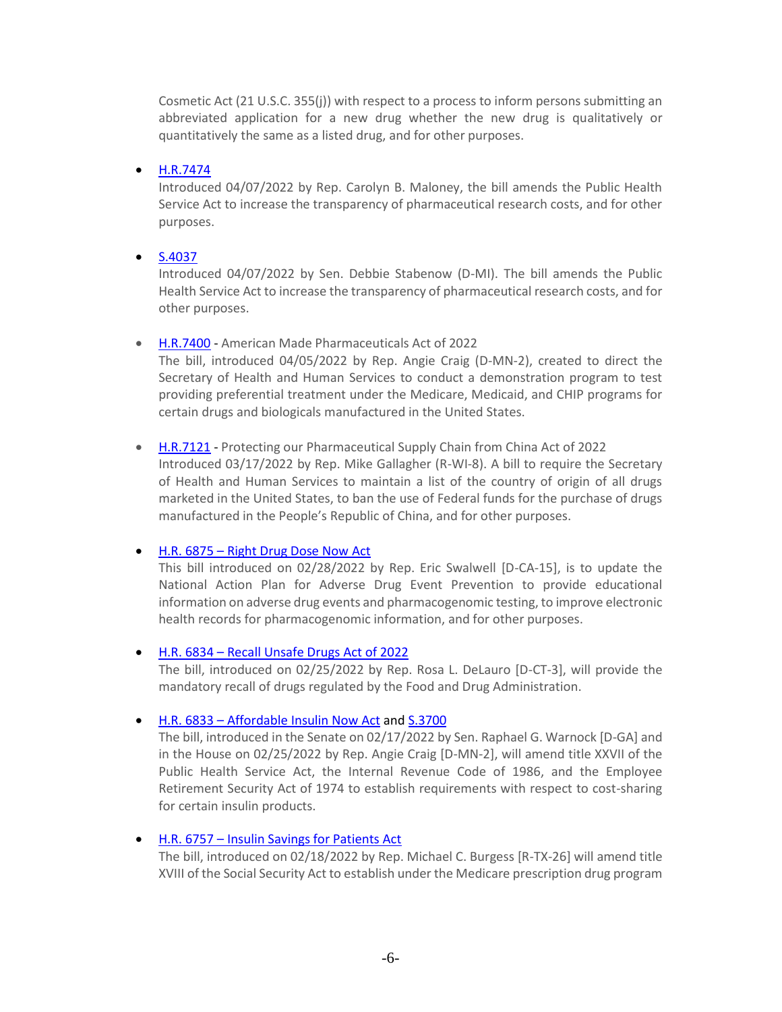Cosmetic Act (21 U.S.C. 355(j)) with respect to a process to inform persons submitting an abbreviated application for a new drug whether the new drug is qualitatively or quantitatively the same as a listed drug, and for other purposes.

# • [H.R.7474](https://www.congress.gov/bill/117th-congress/house-bill/7474?q=%7B%22search%22%3A%5B%22congressId%3A117+AND+billStatus%3A%5C%22Introduced%5C%22%22%5D%7D&s=3&r=15)

Introduced 04/07/2022 by Rep. Carolyn B. Maloney, the bill amends the Public Health Service Act to increase the transparency of pharmaceutical research costs, and for other purposes.

# • [S.4037](https://www.congress.gov/bill/117th-congress/senate-bill/4037?q=%7B%22search%22%3A%5B%22congressId%3A117+AND+billStatus%3A%5C%22Introduced%5C%22%22%5D%7D&s=5&r=103)

Introduced 04/07/2022 by Sen. Debbie Stabenow (D-MI). The bill amends the Public Health Service Act to increase the transparency of pharmaceutical research costs, and for other purposes.

• [H.R.7400](https://www.congress.gov/bill/117th-congress/house-bill/7400?q=%7B%22search%22%3A%5B%22congressId%3A117+AND+billStatus%3A%5C%22Introduced%5C%22%22%5D%7D&s=6&r=192) - American Made Pharmaceuticals Act of 2022

The bill, introduced 04/05/2022 by Rep. Angie Craig (D-MN-2), created to direct the Secretary of Health and Human Services to conduct a demonstration program to test providing preferential treatment under the Medicare, Medicaid, and CHIP programs for certain drugs and biologicals manufactured in the United States.

• [H.R.7121](https://www.congress.gov/bill/117th-congress/house-bill/7121?q=%7B%22search%22%3A%5B%22congressId%3A117+AND+billStatus%3A%5C%22Introduced%5C%22%22%5D%7D&s=10&r=672) - Protecting our Pharmaceutical Supply Chain from China Act of 2022 Introduced 03/17/2022 by Rep. Mike Gallagher (R-WI-8). A bill to require the Secretary of Health and Human Services to maintain a list of the country of origin of all drugs marketed in the United States, to ban the use of Federal funds for the purchase of drugs manufactured in the People's Republic of China, and for other purposes.

# • H.R. 6875 – [Right Drug Dose Now Act](https://www.congress.gov/bill/117th-congress/house-bill/6875/text?q=%7B%22search%22%3A%5B%22drug%22%2C%22drug%22%5D%7D&r=36&s=5)

This bill introduced on 02/28/2022 by Rep. Eric Swalwell [D-CA-15], is to update the National Action Plan for Adverse Drug Event Prevention to provide educational information on adverse drug events and pharmacogenomic testing, to improve electronic health records for pharmacogenomic information, and for other purposes.

# • H.R. 6834 – [Recall Unsafe Drugs Act of 2022](https://www.congress.gov/bill/117th-congress/house-bill/6834/text?q=%7B%22search%22%3A%5B%22drug%22%2C%22drug%22%5D%7D&r=53&s=4)

The bill, introduced on 02/25/2022 by Rep. Rosa L. DeLauro [D-CT-3], will provide the mandatory recall of drugs regulated by the Food and Drug Administration.

# • H.R. 6833 – [Affordable Insulin Now Act](https://www.congress.gov/bill/117th-congress/house-bill/6833?q=%7B%22search%22%3A%5B%22drug%22%2C%22drug%22%5D%7D&s=4&r=54) an[d S.3700](https://www.congress.gov/bill/117th-congress/senate-bill/3700?q=%7B%22search%22%3A%5B%22drug%22%2C%22drug%22%5D%7D&s=4&r=68)

The bill, introduced in the Senate on 02/17/2022 by Sen. Raphael G. Warnock [D-GA] and in the House on 02/25/2022 by Rep. Angie Craig [D-MN-2], will amend title XXVII of the Public Health Service Act, the Internal Revenue Code of 1986, and the Employee Retirement Security Act of 1974 to establish requirements with respect to cost-sharing for certain insulin products.

#### • H.R. 6757 – [Insulin Savings for Patients Act](https://www.congress.gov/bill/117th-congress/house-bill/6757/text?q=%7B%22search%22%3A%5B%22drug%22%2C%22drug%22%5D%7D&r=61&s=4)

The bill, introduced on 02/18/2022 by Rep. Michael C. Burgess [R-TX-26] will amend title XVIII of the Social Security Act to establish under the Medicare prescription drug program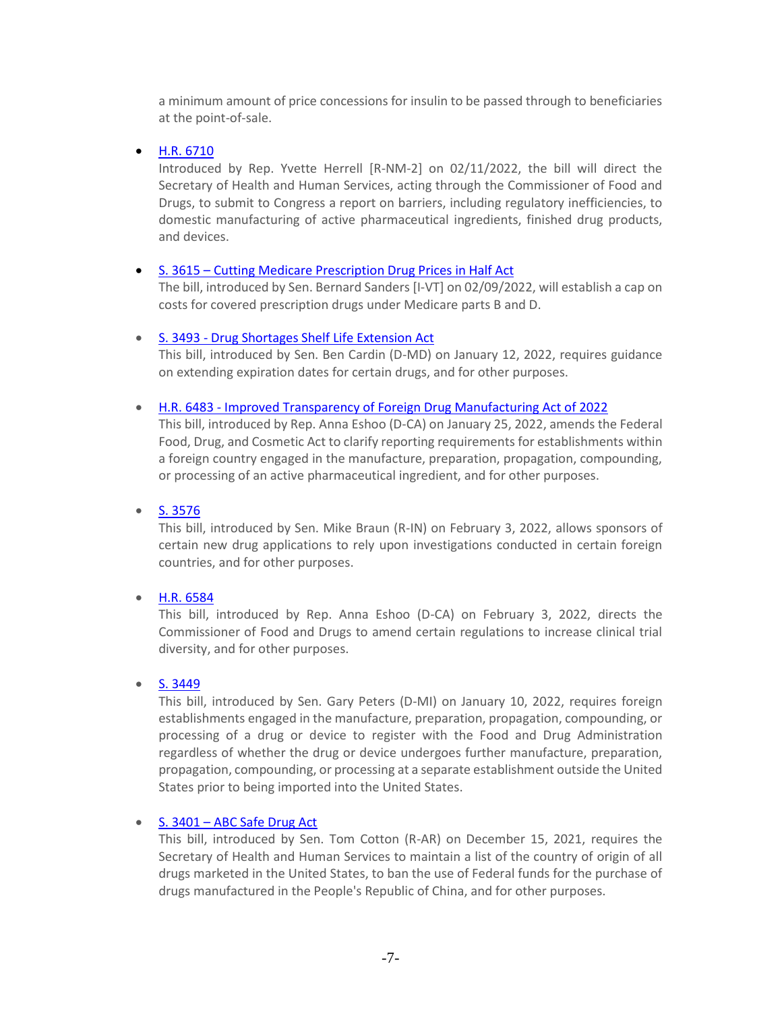a minimum amount of price concessions for insulin to be passed through to beneficiaries at the point-of-sale.

• [H.R. 6710](https://www.congress.gov/bill/117th-congress/house-bill/6710/text?q=%7B%22search%22%3A%5B%22drug%22%2C%22drug%22%5D%7D&r=120&s=6)

Introduced by Rep. Yvette Herrell [R-NM-2] on 02/11/2022, the bill will direct the Secretary of Health and Human Services, acting through the Commissioner of Food and Drugs, to submit to Congress a report on barriers, including regulatory inefficiencies, to domestic manufacturing of active pharmaceutical ingredients, finished drug products, and devices.

# • S. 3615 – [Cutting Medicare Prescription Drug Prices in Half Act](https://www.congress.gov/bill/117th-congress/senate-bill/3615/text?q=%7B%22search%22%3A%5B%22drug%22%2C%22drug%22%5D%7D&r=137&s=7)

The bill, introduced by Sen. Bernard Sanders [I-VT] on 02/09/2022, will establish a cap on costs for covered prescription drugs under Medicare parts B and D.

# • S. 3493 - [Drug Shortages Shelf Life Extension Act](https://www.congress.gov/bill/117th-congress/senate-bill/3493/text?q=%7B%22search%22%3A%5B%22congressId%3A117+AND+billStatus%3A%5C%22Introduced%5C%22%22%5D%7D&r=406&s=3)

This bill, introduced by Sen. Ben Cardin (D-MD) on January 12, 2022, requires guidance on extending expiration dates for certain drugs, and for other purposes.

# • H.R. 6483 - [Improved Transparency of Foreign Drug Manufacturing Act of 2022](https://www.congress.gov/bill/117th-congress/house-bill/6483?q=%7B%22search%22%3A%5B%22congressId%3A117+AND+billStatus%3A%5C%22Introduced%5C%22%22%5D%7D&r=221&s=3)

This bill, introduced by Rep. Anna Eshoo (D-CA) on January 25, 2022, amends the Federal Food, Drug, and Cosmetic Act to clarify reporting requirements for establishments within a foreign country engaged in the manufacture, preparation, propagation, compounding, or processing of an active pharmaceutical ingredient, and for other purposes.

• [S. 3576](https://www.congress.gov/bill/117th-congress/senate-bill/3576?q=%7B%22search%22%3A%5B%22congressId%3A117+AND+billStatus%3A%5C%22Introduced%5C%22%22%5D%7D&s=1&r=59)

This bill, introduced by Sen. Mike Braun (R-IN) on February 3, 2022, allows sponsors of certain new drug applications to rely upon investigations conducted in certain foreign countries, and for other purposes.

• [H.R. 6584](https://www.congress.gov/bill/117th-congress/house-bill/6584?q=%7B%22search%22%3A%5B%22congressId%3A117+AND+billStatus%3A%5C%22Introduced%5C%22%22%5D%7D&s=1&r=39)

This bill, introduced by Rep. Anna Eshoo (D-CA) on February 3, 2022, directs the Commissioner of Food and Drugs to amend certain regulations to increase clinical trial diversity, and for other purposes.

# • [S. 3449](https://www.congress.gov/bill/117th-congress/senate-bill/3449?q=%7B%22search%22%3A%5B%22congressId%3A117+AND+billStatus%3A%5C%22Introduced%5C%22%22%5D%7D&s=3&r=34)

This bill, introduced by Sen. Gary Peters (D-MI) on January 10, 2022, requires foreign establishments engaged in the manufacture, preparation, propagation, compounding, or processing of a drug or device to register with the Food and Drug Administration regardless of whether the drug or device undergoes further manufacture, preparation, propagation, compounding, or processing at a separate establishment outside the United States prior to being imported into the United States.

# • S. 3401 – [ABC Safe Drug Act](https://www.congress.gov/bill/117th-congress/senate-bill/3401/text?q=%7B%22search%22%3A%5B%22congressId%3A117+AND+billStatus%3A%5C%22Introduced%5C%22%22%5D%7D&r=164&s=3)

This bill, introduced by Sen. Tom Cotton (R-AR) on December 15, 2021, requires the Secretary of Health and Human Services to maintain a list of the country of origin of all drugs marketed in the United States, to ban the use of Federal funds for the purchase of drugs manufactured in the People's Republic of China, and for other purposes.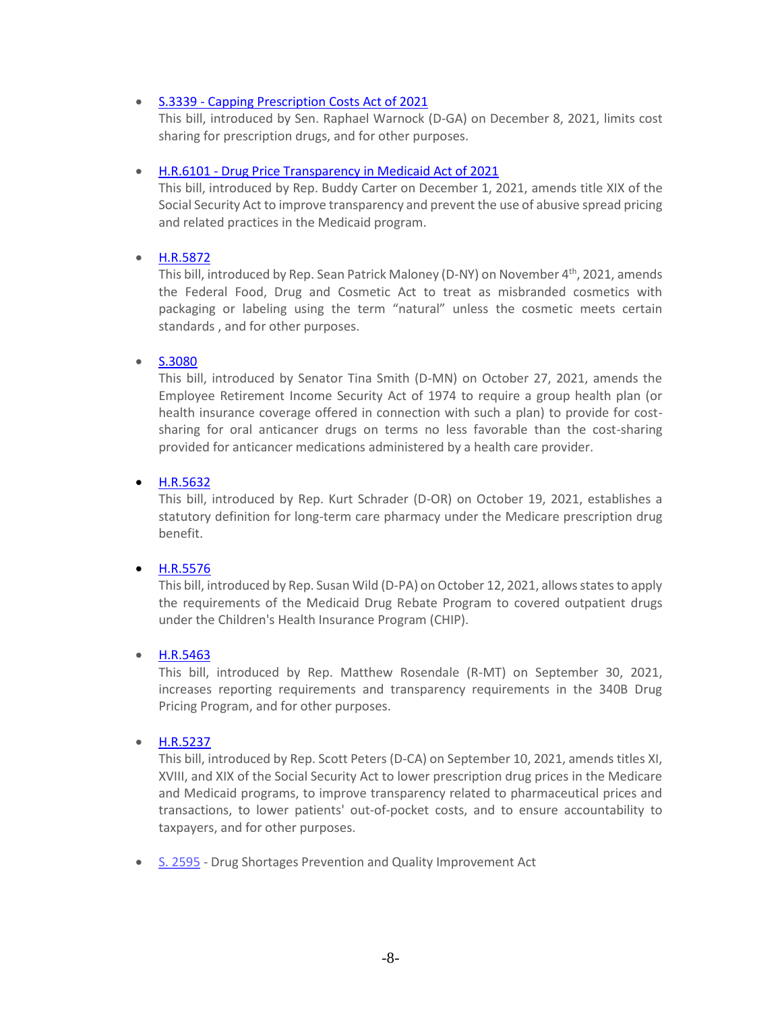#### • S.3339 - [Capping Prescription Costs Act of 2021](https://www.congress.gov/bill/117th-congress/senate-bill/3339?q=%7B%22search%22%3A%5B%22congressId%3A117+AND+billStatus%3A%5C%22Introduced%5C%22%22%5D%7D&r=370&s=3)

This bill, introduced by Sen. Raphael Warnock (D-GA) on December 8, 2021, limits cost sharing for prescription drugs, and for other purposes.

# • H.R.6101 - [Drug Price Transparency in Medicaid Act of 2021](https://www.congress.gov/bill/117th-congress/house-bill/6101/text?q=%7B%22search%22%3A%5B%22congressId%3A117+AND+billStatus%3A%5C%22Introduced%5C%22%22%5D%7D&r=510&s=3)

This bill, introduced by Rep. Buddy Carter on December 1, 2021, amends title XIX of the Social Security Act to improve transparency and prevent the use of abusive spread pricing and related practices in the Medicaid program.

# • [H.R.5872](https://www.congress.gov/bill/117th-congress/house-bill/5872?r=5&s=5)

This bill, introduced by Rep. Sean Patrick Maloney (D-NY) on November 4<sup>th</sup>, 2021, amends the Federal Food, Drug and Cosmetic Act to treat as misbranded cosmetics with packaging or labeling using the term "natural" unless the cosmetic meets certain standards , and for other purposes.

# • [S.3080](https://www.congress.gov/bill/117th-congress/senate-bill/3080?q=%7B%22search%22%3A%5B%22congressId%3A117+AND+billStatus%3A%5C%22Introduced%5C%22%22%2C%22%22%5D%7D&s=2&r=105)

This bill, introduced by Senator Tina Smith (D-MN) on October 27, 2021, amends the Employee Retirement Income Security Act of 1974 to require a group health plan (or health insurance coverage offered in connection with such a plan) to provide for costsharing for oral anticancer drugs on terms no less favorable than the cost-sharing provided for anticancer medications administered by a health care provider.

# • [H.R.5632](https://www.congress.gov/bill/117th-congress/house-bill/5632?q=%7B%22search%22%3A%5B%22congressId%3A117+AND+billStatus%3A%5C%22Introduced%5C%22%22%2C%22%22%5D%7D&s=1&r=316)

This bill, introduced by Rep. Kurt Schrader (D-OR) on October 19, 2021, establishes a statutory definition for long-term care pharmacy under the Medicare prescription drug benefit.

# • [H.R.5576](https://www.congress.gov/bill/117th-congress/house-bill/5576?q=%7B%22search%22%3A%5B%22congressId%3A117+AND+billStatus%3A%5C%22Introduced%5C%22%22%2C%22%22%5D%7D&s=3&r=409)

This bill, introduced by Rep. Susan Wild (D-PA) on October 12, 2021, allows states to apply the requirements of the Medicaid Drug Rebate Program to covered outpatient drugs under the Children's Health Insurance Program (CHIP).

# • [H.R.5463](https://www.congress.gov/bill/117th-congress/house-bill/5463/text?q=%7B%22search%22%3A%5B%22congressId%3A117+AND+billStatus%3A%5C%22Introduced%5C%22%22%2C%22%22%5D%7D&r=624&s=6)

This bill, introduced by Rep. Matthew Rosendale (R-MT) on September 30, 2021, increases reporting requirements and transparency requirements in the 340B Drug Pricing Program, and for other purposes.

#### • [H.R.5237](https://www.congress.gov/bill/117th-congress/house-bill/5237?r=1185&s=6)

This bill, introduced by Rep. Scott Peters (D-CA) on September 10, 2021, amends titles XI, XVIII, and XIX of the Social Security Act to lower prescription drug prices in the Medicare and Medicaid programs, to improve transparency related to pharmaceutical prices and transactions, to lower patients' out-of-pocket costs, and to ensure accountability to taxpayers, and for other purposes.

• [S. 2595](https://www.congress.gov/bill/117th-congress/senate-bill/2595/text?q=%7B%22search%22%3A%5B%22congressId%3A117+AND+billStatus%3A%5C%22Introduced%5C%22%22%5D%7D&r=366&s=2) - Drug Shortages Prevention and Quality Improvement Act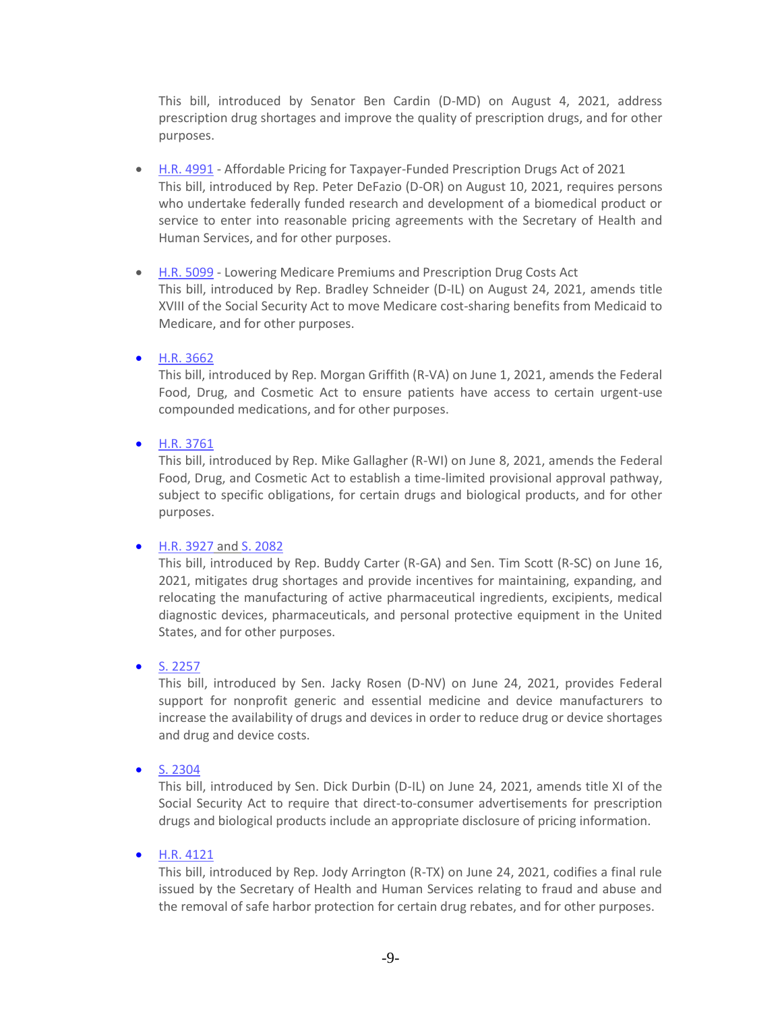This bill, introduced by Senator Ben Cardin (D-MD) on August 4, 2021, address prescription drug shortages and improve the quality of prescription drugs, and for other purposes.

- [H.R. 4991](https://www.congress.gov/bill/117th-congress/house-bill/4991/text?q=%7B%22search%22%3A%5B%22congressId%3A117+AND+billStatus%3A%5C%22Introduced%5C%22%22%5D%7D&r=170&s=2) Affordable Pricing for Taxpayer-Funded Prescription Drugs Act of 2021 This bill, introduced by Rep. Peter DeFazio (D-OR) on August 10, 2021, requires persons who undertake federally funded research and development of a biomedical product or service to enter into reasonable pricing agreements with the Secretary of Health and Human Services, and for other purposes.
- [H.R. 5099](https://www.congress.gov/bill/117th-congress/house-bill/5099/text?q=%7B%22search%22%3A%5B%22congressId%3A117+AND+billStatus%3A%5C%22Introduced%5C%22%22%5D%7D&r=32&s=2) Lowering Medicare Premiums and Prescription Drug Costs Act This bill, introduced by Rep. Bradley Schneider (D-IL) on August 24, 2021, amends title XVIII of the Social Security Act to move Medicare cost-sharing benefits from Medicaid to Medicare, and for other purposes.
- [H.R. 3662](https://www.congress.gov/bill/117th-congress/house-bill/3662?q=%7B%22search%22%3A%5B%22congressId%3A117+AND+billStatus%3A%5C%22Introduced%5C%22%22%5D%7D&s=3&r=1160)

This bill, introduced by Rep. Morgan Griffith (R-VA) on June 1, 2021, amends the Federal Food, Drug, and Cosmetic Act to ensure patients have access to certain urgent-use compounded medications, and for other purposes.

• [H.R. 3761](https://www.congress.gov/bill/117th-congress/house-bill/3761?q=%7B%22search%22%3A%5B%22congressId%3A117+AND+billStatus%3A%5C%22Introduced%5C%22%22%5D%7D&s=3&r=1020)

This bill, introduced by Rep. Mike Gallagher (R-WI) on June 8, 2021, amends the Federal Food, Drug, and Cosmetic Act to establish a time-limited provisional approval pathway, subject to specific obligations, for certain drugs and biological products, and for other purposes.

#### • [H.R. 3927](https://www.congress.gov/bill/117th-congress/house-bill/3927?q=%7B%22search%22%3A%5B%22congressId%3A117+AND+billStatus%3A%5C%22Introduced%5C%22%22%5D%7D&s=3&r=711) and [S. 2082](https://www.congress.gov/bill/117th-congress/senate-bill/2082?q=%7B%22search%22%3A%5B%22congressId%3A117+AND+billStatus%3A%5C%22Introduced%5C%22%22%5D%7D&s=3&r=732)

This bill, introduced by Rep. Buddy Carter (R-GA) and Sen. Tim Scott (R-SC) on June 16, 2021, mitigates drug shortages and provide incentives for maintaining, expanding, and relocating the manufacturing of active pharmaceutical ingredients, excipients, medical diagnostic devices, pharmaceuticals, and personal protective equipment in the United States, and for other purposes.

• [S. 2257](https://www.congress.gov/bill/117th-congress/senate-bill/2257?q=%7B%22search%22%3A%5B%22congressId%3A117+AND+billStatus%3A%5C%22Introduced%5C%22%22%5D%7D&s=3&r=323)

This bill, introduced by Sen. Jacky Rosen (D-NV) on June 24, 2021, provides Federal support for nonprofit generic and essential medicine and device manufacturers to increase the availability of drugs and devices in order to reduce drug or device shortages and drug and device costs.

• [S. 2304](https://www.congress.gov/bill/117th-congress/senate-bill/2304?q=%7B%22search%22%3A%5B%22congressId%3A117+AND+billStatus%3A%5C%22Introduced%5C%22%22%5D%7D&s=3&r=276)

This bill, introduced by Sen. Dick Durbin (D-IL) on June 24, 2021, amends title XI of the Social Security Act to require that direct-to-consumer advertisements for prescription drugs and biological products include an appropriate disclosure of pricing information.

• [H.R. 4121](https://www.congress.gov/bill/117th-congress/house-bill/4121?q=%7B%22search%22%3A%5B%22congressId%3A117+AND+billStatus%3A%5C%22Introduced%5C%22%22%5D%7D&s=3&r=262)

This bill, introduced by Rep. Jody Arrington (R-TX) on June 24, 2021, codifies a final rule issued by the Secretary of Health and Human Services relating to fraud and abuse and the removal of safe harbor protection for certain drug rebates, and for other purposes.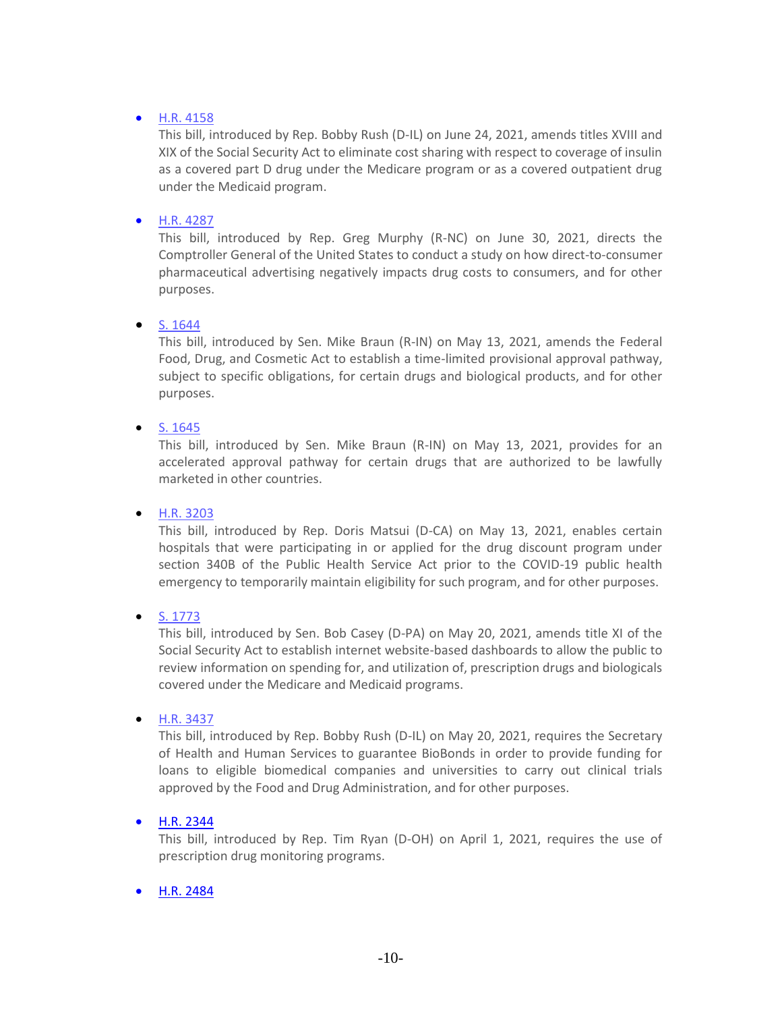# • [H.R. 4158](https://www.congress.gov/bill/117th-congress/house-bill/4158?q=%7B%22search%22%3A%5B%22congressId%3A117+AND+billStatus%3A%5C%22Introduced%5C%22%22%5D%7D&s=2&r=225)

This bill, introduced by Rep. Bobby Rush (D-IL) on June 24, 2021, amends titles XVIII and XIX of the Social Security Act to eliminate cost sharing with respect to coverage of insulin as a covered part D drug under the Medicare program or as a covered outpatient drug under the Medicaid program.

# • [H.R. 4287](https://www.congress.gov/bill/117th-congress/house-bill/4278?q=%7B%22search%22%3A%5B%22congressId%3A117+AND+billStatus%3A%5C%22Introduced%5C%22%22%5D%7D&s=2&r=86)

This bill, introduced by Rep. Greg Murphy (R-NC) on June 30, 2021, directs the Comptroller General of the United States to conduct a study on how direct-to-consumer pharmaceutical advertising negatively impacts drug costs to consumers, and for other purposes.

#### • [S. 1644](https://www.congress.gov/bill/117th-congress/senate-bill/1644?q=%7B%22search%22%3A%5B%22congressId%3A117+AND+billStatus%3A%5C%22Introduced%5C%22%22%5D%7D&s=3&r=940)

This bill, introduced by Sen. Mike Braun (R-IN) on May 13, 2021, amends the Federal Food, Drug, and Cosmetic Act to establish a time-limited provisional approval pathway, subject to specific obligations, for certain drugs and biological products, and for other purposes.

# • [S. 1645](https://www.congress.gov/bill/117th-congress/senate-bill/1645?q=%7B%22search%22%3A%5B%22congressId%3A117+AND+billStatus%3A%5C%22Introduced%5C%22%22%5D%7D&s=3&r=939)

This bill, introduced by Sen. Mike Braun (R-IN) on May 13, 2021, provides for an accelerated approval pathway for certain drugs that are authorized to be lawfully marketed in other countries.

#### • [H.R. 3203](https://www.congress.gov/bill/117th-congress/house-bill/3203?q=%7B%22search%22%3A%5B%22congressId%3A117+AND+billStatus%3A%5C%22Introduced%5C%22%22%5D%7D&s=3&r=896)

This bill, introduced by Rep. Doris Matsui (D-CA) on May 13, 2021, enables certain hospitals that were participating in or applied for the drug discount program under section 340B of the Public Health Service Act prior to the COVID-19 public health emergency to temporarily maintain eligibility for such program, and for other purposes.

#### • [S. 1773](https://www.congress.gov/bill/117th-congress/senate-bill/1773?q=%7B%22search%22%3A%5B%22congressId%3A117+AND+billStatus%3A%5C%22Introduced%5C%22%22%5D%7D&s=3&r=581)

This bill, introduced by Sen. Bob Casey (D-PA) on May 20, 2021, amends title XI of the Social Security Act to establish internet website-based dashboards to allow the public to review information on spending for, and utilization of, prescription drugs and biologicals covered under the Medicare and Medicaid programs.

#### • [H.R. 3437](https://www.congress.gov/bill/117th-congress/house-bill/3437?q=%7B%22search%22%3A%5B%22congressId%3A117+AND+billStatus%3A%5C%22Introduced%5C%22%22%5D%7D&s=3&r=478)

This bill, introduced by Rep. Bobby Rush (D-IL) on May 20, 2021, requires the Secretary of Health and Human Services to guarantee BioBonds in order to provide funding for loans to eligible biomedical companies and universities to carry out clinical trials approved by the Food and Drug Administration, and for other purposes.

# • [H.R. 2344](https://www.congress.gov/bill/117th-congress/house-bill/2344?q=%7B%22search%22%3A%5B%22congressId%3A117+AND+billStatus%3A%5C%22Introduced%5C%22%22%5D%7D&s=7&r=1222)

This bill, introduced by Rep. Tim Ryan (D-OH) on April 1, 2021, requires the use of prescription drug monitoring programs.

# • [H.R. 2484](https://www.congress.gov/bill/117th-congress/house-bill/2484?q=%7B%22search%22%3A%5B%22congressId%3A117+AND+billStatus%3A%5C%22Introduced%5C%22%22%5D%7D&s=7&r=1011)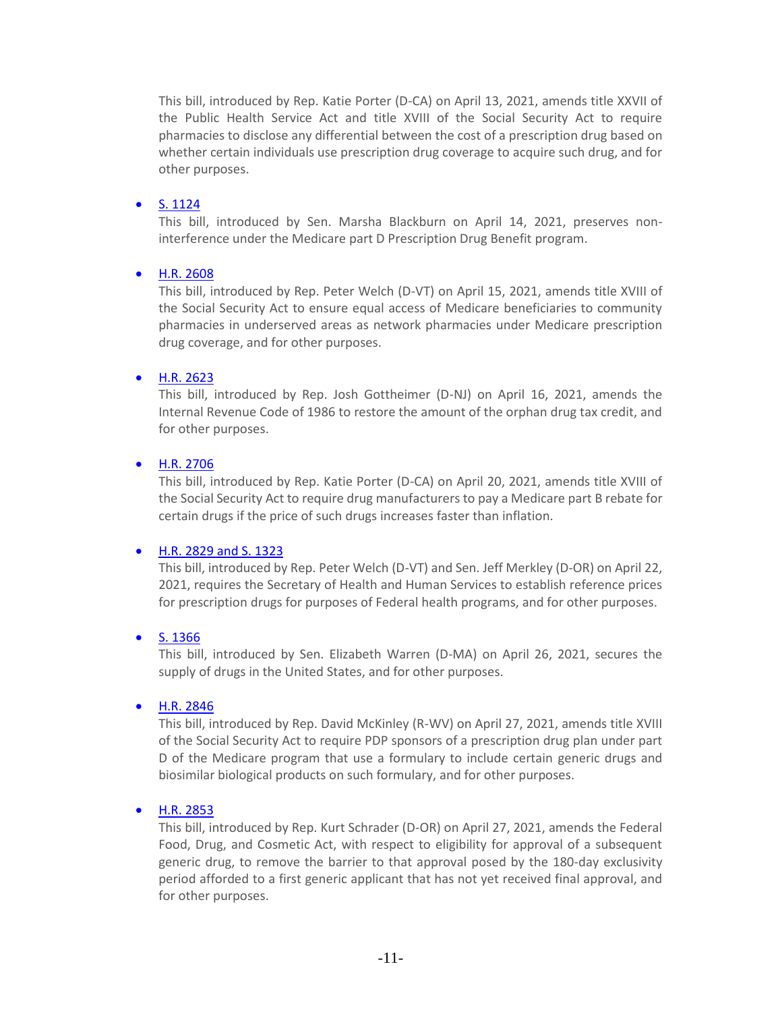This bill, introduced by Rep. Katie Porter (D-CA) on April 13, 2021, amends title XXVII of the Public Health Service Act and title XVIII of the Social Security Act to require pharmacies to disclose any differential between the cost of a prescription drug based on whether certain individuals use prescription drug coverage to acquire such drug, and for other purposes.

#### • [S. 1124](https://www.congress.gov/bill/117th-congress/senate-bill/1123?q=%7B%22search%22%3A%5B%22congressId%3A117+AND+billStatus%3A%5C%22Introduced%5C%22%22%5D%7D&s=6&r=981)

This bill, introduced by Sen. Marsha Blackburn on April 14, 2021, preserves noninterference under the Medicare part D Prescription Drug Benefit program.

# • [H.R. 2608](https://www.congress.gov/bill/117th-congress/house-bill/2608?q=%7B%22search%22%3A%5B%22congressId%3A117+AND+billStatus%3A%5C%22Introduced%5C%22%22%5D%7D&s=6&r=773)

This bill, introduced by Rep. Peter Welch (D-VT) on April 15, 2021, amends title XVIII of the Social Security Act to ensure equal access of Medicare beneficiaries to community pharmacies in underserved areas as network pharmacies under Medicare prescription drug coverage, and for other purposes.

# • [H.R. 2623](https://www.congress.gov/bill/117th-congress/house-bill/2623?q=%7B%22search%22%3A%5B%22congressId%3A117+AND+billStatus%3A%5C%22Introduced%5C%22%22%5D%7D&s=6&r=751)

This bill, introduced by Rep. Josh Gottheimer (D-NJ) on April 16, 2021, amends the Internal Revenue Code of 1986 to restore the amount of the orphan drug tax credit, and for other purposes.

# • [H.R. 2706](https://www.congress.gov/bill/117th-congress/house-bill/2706?q=%7B%22search%22%3A%5B%22congressId%3A117+AND+billStatus%3A%5C%22Introduced%5C%22%22%5D%7D&s=5&r=590)

This bill, introduced by Rep. Katie Porter (D-CA) on April 20, 2021, amends title XVIII of the Social Security Act to require drug manufacturers to pay a Medicare part B rebate for certain drugs if the price of such drugs increases faster than inflation.

#### • [H.R. 2829 and S. 1323](https://www.congress.gov/bill/117th-congress/house-bill/2829?q=%7B%22search%22%3A%5B%22congressId%3A117+AND+billStatus%3A%5C%22Introduced%5C%22%22%5D%7D&s=4&r=333)

This bill, introduced by Rep. Peter Welch (D-VT) and Sen. Jeff Merkley (D-OR) on April 22, 2021, requires the Secretary of Health and Human Services to establish reference prices for prescription drugs for purposes of Federal health programs, and for other purposes.

# • [S. 1366](https://www.congress.gov/bill/117th-congress/senate-bill/1366?q=%7B%22search%22%3A%5B%22congressId%3A117+AND+billStatus%3A%5C%22Introduced%5C%22%22%5D%7D&s=4&r=327)

This bill, introduced by Sen. Elizabeth Warren (D-MA) on April 26, 2021, secures the supply of drugs in the United States, and for other purposes.

#### • [H.R. 2846](https://www.congress.gov/bill/117th-congress/house-bill/2846?q=%7B%22search%22%3A%5B%22congressId%3A117+AND+billStatus%3A%5C%22Introduced%5C%22%22%5D%7D&s=4&r=302)

This bill, introduced by Rep. David McKinley (R-WV) on April 27, 2021, amends title XVIII of the Social Security Act to require PDP sponsors of a prescription drug plan under part D of the Medicare program that use a formulary to include certain generic drugs and biosimilar biological products on such formulary, and for other purposes.

#### • [H.R. 2853](https://www.congress.gov/bill/117th-congress/house-bill/2853?q=%7B%22search%22%3A%5B%22congressId%3A117+AND+billStatus%3A%5C%22Introduced%5C%22%22%5D%7D&s=4&r=295)

This bill, introduced by Rep. Kurt Schrader (D-OR) on April 27, 2021, amends the Federal Food, Drug, and Cosmetic Act, with respect to eligibility for approval of a subsequent generic drug, to remove the barrier to that approval posed by the 180-day exclusivity period afforded to a first generic applicant that has not yet received final approval, and for other purposes.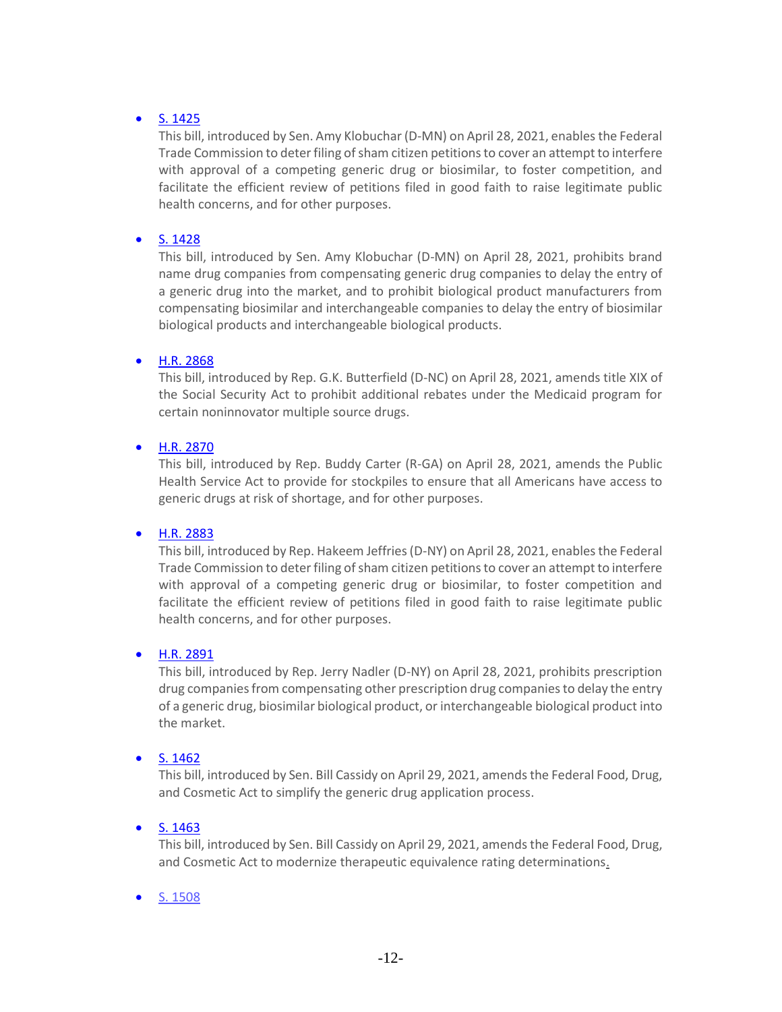# • [S. 1425](https://www.congress.gov/bill/117th-congress/senate-bill/1425?q=%7B%22search%22%3A%5B%22congressId%3A117+AND+billStatus%3A%5C%22Introduced%5C%22%22%5D%7D&s=3&r=225)

This bill, introduced by Sen. Amy Klobuchar (D-MN) on April 28, 2021, enables the Federal Trade Commission to deter filing of sham citizen petitions to cover an attempt to interfere with approval of a competing generic drug or biosimilar, to foster competition, and facilitate the efficient review of petitions filed in good faith to raise legitimate public health concerns, and for other purposes.

#### • [S. 1428](https://www.congress.gov/bill/117th-congress/senate-bill/1428?q=%7B%22search%22%3A%5B%22congressId%3A117+AND+billStatus%3A%5C%22Introduced%5C%22%22%5D%7D&s=3&r=222)

This bill, introduced by Sen. Amy Klobuchar (D-MN) on April 28, 2021, prohibits brand name drug companies from compensating generic drug companies to delay the entry of a generic drug into the market, and to prohibit biological product manufacturers from compensating biosimilar and interchangeable companies to delay the entry of biosimilar biological products and interchangeable biological products.

#### • [H.R. 2868](https://www.congress.gov/bill/117th-congress/house-bill/2868?q=%7B%22search%22%3A%5B%22congressId%3A117+AND+billStatus%3A%5C%22Introduced%5C%22%22%5D%7D&s=3&r=195)

This bill, introduced by Rep. G.K. Butterfield (D-NC) on April 28, 2021, amends title XIX of the Social Security Act to prohibit additional rebates under the Medicaid program for certain noninnovator multiple source drugs.

#### • [H.R. 2870](https://www.congress.gov/bill/117th-congress/house-bill/2870?q=%7B%22search%22%3A%5B%22congressId%3A117+AND+billStatus%3A%5C%22Introduced%5C%22%22%5D%7D&s=3&r=193)

This bill, introduced by Rep. Buddy Carter (R-GA) on April 28, 2021, amends the Public Health Service Act to provide for stockpiles to ensure that all Americans have access to generic drugs at risk of shortage, and for other purposes.

#### • [H.R. 2883](https://www.congress.gov/bill/117th-congress/house-bill/2883?q=%7B%22search%22%3A%5B%22congressId%3A117+AND+billStatus%3A%5C%22Introduced%5C%22%22%5D%7D&s=3&r=180)

This bill, introduced by Rep. Hakeem Jeffries (D-NY) on April 28, 2021, enables the Federal Trade Commission to deter filing of sham citizen petitions to cover an attempt to interfere with approval of a competing generic drug or biosimilar, to foster competition and facilitate the efficient review of petitions filed in good faith to raise legitimate public health concerns, and for other purposes.

#### • [H.R. 2891](https://www.congress.gov/bill/117th-congress/house-bill/2891?q=%7B%22search%22%3A%5B%22congressId%3A117+AND+billStatus%3A%5C%22Introduced%5C%22%22%5D%7D&s=3&r=172)

This bill, introduced by Rep. Jerry Nadler (D-NY) on April 28, 2021, prohibits prescription drug companies from compensating other prescription drug companies to delay the entry of a generic drug, biosimilar biological product, or interchangeable biological product into the market.

#### • [S. 1462](https://www.congress.gov/bill/117th-congress/senate-bill/1462?q=%7B%22search%22%3A%5B%22congressId%3A117+AND+billStatus%3A%5C%22Introduced%5C%22%22%5D%7D&s=3&r=122)

This bill, introduced by Sen. Bill Cassidy on April 29, 2021, amends the Federal Food, Drug, and Cosmetic Act to simplify the generic drug application process.

#### • [S. 1463](https://www.congress.gov/bill/117th-congress/senate-bill/1463?q=%7B%22search%22%3A%5B%22congressId%3A117+AND+billStatus%3A%5C%22Introduced%5C%22%22%5D%7D&s=2&r=121)

This bill, introduced by Sen. Bill Cassidy on April 29, 2021, amends the Federal Food, Drug, and Cosmetic Act to modernize therapeutic equivalence rating determinations.

#### • [S. 1508](https://www.congress.gov/bill/117th-congress/senate-bill/1508?q=%7B%22search%22%3A%5B%22congressId%3A117+AND+billStatus%3A%5C%22Introduced%5C%22%22%5D%7D&s=2&r=76)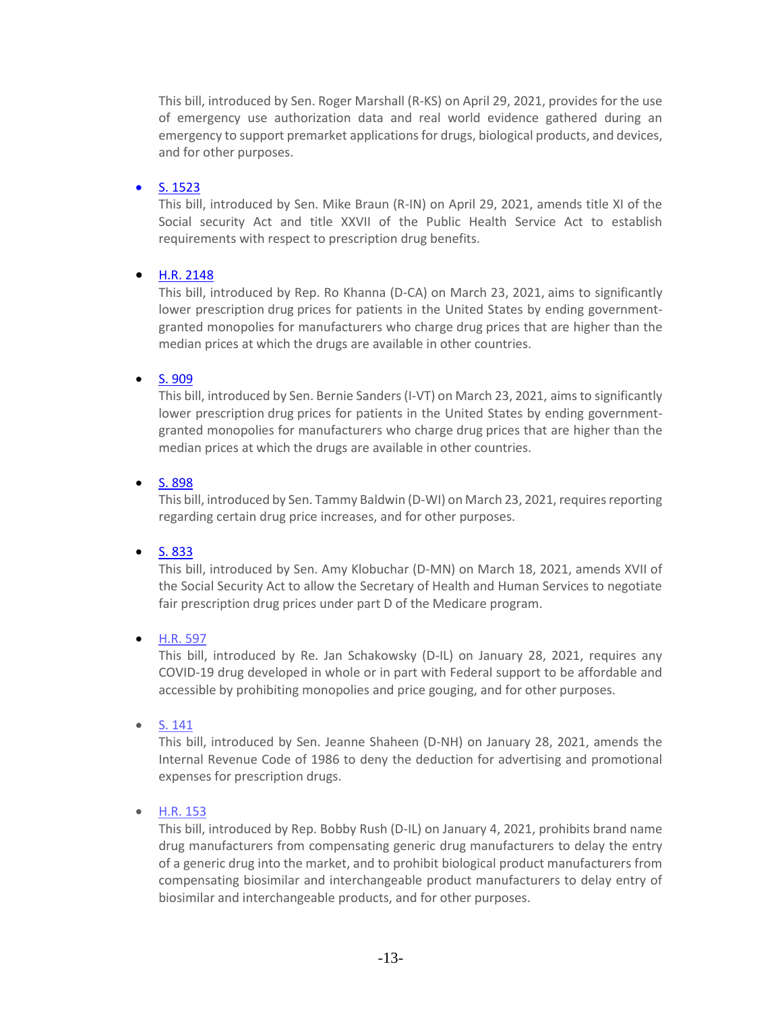This bill, introduced by Sen. Roger Marshall (R-KS) on April 29, 2021, provides for the use of emergency use authorization data and real world evidence gathered during an emergency to support premarket applications for drugs, biological products, and devices, and for other purposes.

# • [S. 1523](https://www.congress.gov/bill/117th-congress/senate-bill/1523?q=%7B%22search%22%3A%5B%22congressId%3A117+AND+billStatus%3A%5C%22Introduced%5C%22%22%5D%7D&s=2&r=61)

This bill, introduced by Sen. Mike Braun (R-IN) on April 29, 2021, amends title XI of the Social security Act and title XXVII of the Public Health Service Act to establish requirements with respect to prescription drug benefits.

# • [H.R. 2148](https://www.congress.gov/bill/117th-congress/house-bill/2148?q=%7B%22search%22%3A%5B%22drug+pricing%22%5D%7D&s=2&r=1)

This bill, introduced by Rep. Ro Khanna (D-CA) on March 23, 2021, aims to significantly lower prescription drug prices for patients in the United States by ending governmentgranted monopolies for manufacturers who charge drug prices that are higher than the median prices at which the drugs are available in other countries.

# • [S. 909](https://www.congress.gov/bill/117th-congress/senate-bill/909?q=%7B%22search%22%3A%5B%22drug+pricing%22%5D%7D&s=3&r=3)

This bill, introduced by Sen. Bernie Sanders (I-VT) on March 23, 2021, aims to significantly lower prescription drug prices for patients in the United States by ending governmentgranted monopolies for manufacturers who charge drug prices that are higher than the median prices at which the drugs are available in other countries.

# • [S. 898](https://www.congress.gov/bill/117th-congress/senate-bill/898?q=%7B%22search%22%3A%5B%22drug+pricing%22%5D%7D&s=4&r=5)

This bill, introduced by Sen. Tammy Baldwin (D-WI) on March 23, 2021, requires reporting regarding certain drug price increases, and for other purposes.

#### • [S. 833](https://www.congress.gov/bill/117th-congress/senate-bill/833?q=%7B%22search%22%3A%5B%22drug+pricing%22%5D%7D&s=5&r=7)

This bill, introduced by Sen. Amy Klobuchar (D-MN) on March 18, 2021, amends XVII of the Social Security Act to allow the Secretary of Health and Human Services to negotiate fair prescription drug prices under part D of the Medicare program.

#### • [H.R. 597](https://www.congress.gov/bill/117th-congress/house-bill/597?q=%7B%22search%22%3A%5B%22congressId%3A117+AND+billStatus%3A%5C%22Introduced%5C%22%22%5D%7D&s=2&r=104)

This bill, introduced by Re. Jan Schakowsky (D-IL) on January 28, 2021, requires any COVID-19 drug developed in whole or in part with Federal support to be affordable and accessible by prohibiting monopolies and price gouging, and for other purposes.

• [S. 141](https://www.congress.gov/bill/117th-congress/senate-bill/141?q=%7B%22search%22%3A%5B%22congressId%3A117+AND+billStatus%3A%5C%22Introduced%5C%22%22%5D%7D&s=4&r=223)

This bill, introduced by Sen. Jeanne Shaheen (D-NH) on January 28, 2021, amends the Internal Revenue Code of 1986 to deny the deduction for advertising and promotional expenses for prescription drugs.

• [H.R. 153](https://www.congress.gov/bill/117th-congress/house-bill/153?q=%7B%22search%22%3A%5B%22congressId%3A117+AND+billStatus%3A%5C%22Introduced%5C%22%22%5D%7D&s=10&r=777)

This bill, introduced by Rep. Bobby Rush (D-IL) on January 4, 2021, prohibits brand name drug manufacturers from compensating generic drug manufacturers to delay the entry of a generic drug into the market, and to prohibit biological product manufacturers from compensating biosimilar and interchangeable product manufacturers to delay entry of biosimilar and interchangeable products, and for other purposes.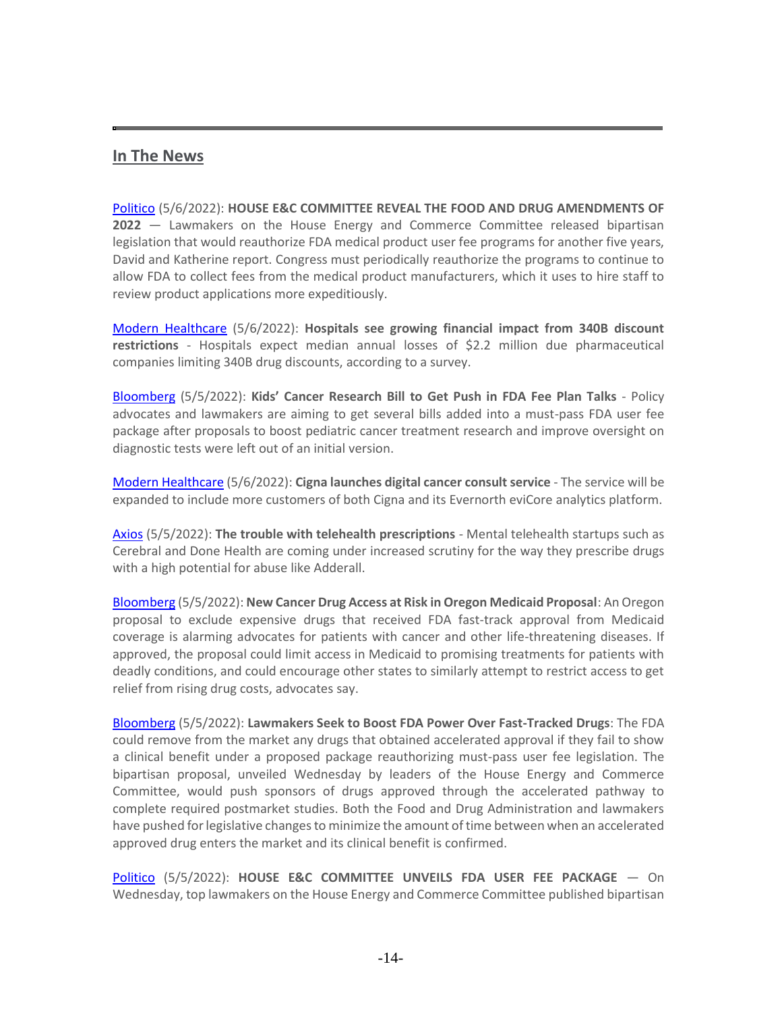# **In The News**

[Politico](https://protect-us.mimecast.com/s/fBj6CYEQrOtGJjNksV6rRR) (5/6/2022): **HOUSE E&C COMMITTEE REVEAL THE FOOD AND DRUG AMENDMENTS OF 2022** — Lawmakers on the House Energy and Commerce Committee released bipartisan legislation that would reauthorize FDA medical product user fee programs for another five years, David and Katherine report. Congress must periodically reauthorize the programs to continue to allow FDA to collect fees from the medical product manufacturers, which it uses to hire staff to review product applications more expeditiously.

[Modern Healthcare](https://protect-us.mimecast.com/s/MIfYCJ6YzvF0myvncVYfh1n) (5/6/2022): **Hospitals see growing financial impact from 340B discount restrictions** - Hospitals expect median annual losses of \$2.2 million due pharmaceutical companies limiting 340B drug discounts, according to a survey.

[Bloomberg](https://www.bgov.com/core/news/#!/articles/RBFI7AT1UM0W) (5/5/2022): **Kids' Cancer Research Bill to Get Push in FDA Fee Plan Talks** - Policy advocates and lawmakers are aiming to get several bills added into a must-pass FDA user fee package after proposals to boost pediatric cancer treatment research and improve oversight on diagnostic tests were left out of an initial version.

[Modern Healthcare](https://protect-us.mimecast.com/s/NjJIC2kg2LTnJ6XmhnJpKay) (5/6/2022): **Cigna launches digital cancer consult service** - The service will be expanded to include more customers of both Cigna and its Evernorth eviCore analytics platform.

[Axios](https://protect-us.mimecast.com/s/e1y4Cv2YREhBk58ofAjrVP) (5/5/2022): **The trouble with telehealth prescriptions** - Mental telehealth startups such as Cerebral and Done Health are coming under increased scrutiny for the way they prescribe drugs with a high potential for abuse like Adderall.

[Bloomberg](https://protect-us.mimecast.com/s/BnjHC0R2EJsEA56jTEXfcp) (5/5/2022): **New Cancer Drug Access at Risk in Oregon Medicaid Proposal**: An Oregon proposal to exclude expensive drugs that received FDA fast-track approval from Medicaid coverage is alarming advocates for patients with cancer and other life-threatening diseases. If approved, the proposal could limit access in Medicaid to promising treatments for patients with deadly conditions, and could encourage other states to similarly attempt to restrict access to get relief from rising drug costs, advocates say.

[Bloomberg](https://protect-us.mimecast.com/s/NTVZC2kg2LTxDXn7UrEUrs) (5/5/2022): **Lawmakers Seek to Boost FDA Power Over Fast-Tracked Drugs**: The FDA could remove from the market any drugs that obtained accelerated approval if they fail to show a clinical benefit under a proposed package reauthorizing must-pass user fee legislation. The bipartisan proposal, unveiled Wednesday by leaders of the House Energy and Commerce Committee, would push sponsors of drugs approved through the accelerated pathway to complete required postmarket studies. Both the Food and Drug Administration and lawmakers have pushed for legislative changes to minimize the amount of time between when an accelerated approved drug enters the market and its clinical benefit is confirmed.

[Politico](https://protect-us.mimecast.com/s/BRdWC82oWRhJyRE9tMt3Br) (5/5/2022): **HOUSE E&C COMMITTEE UNVEILS FDA USER FEE PACKAGE** — On Wednesday, top lawmakers on the House Energy and Commerce Committee published bipartisan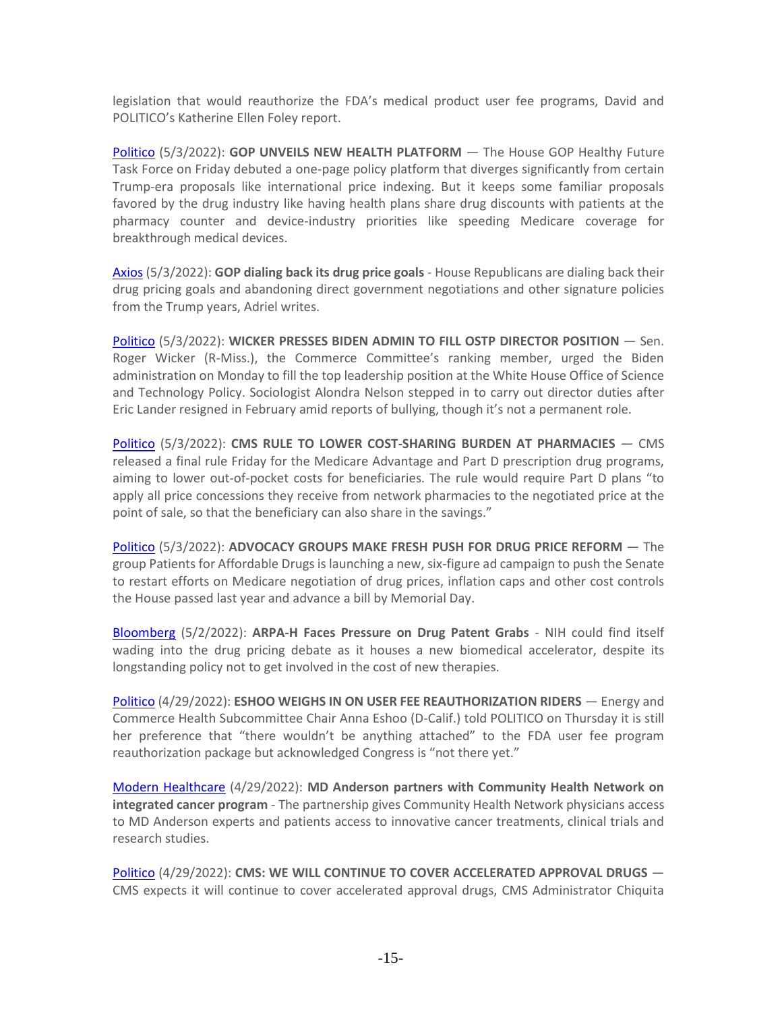legislation that would reauthorize the FDA's medical product user fee programs, David and POLITICO's Katherine Ellen Foley report.

[Politico](https://protect-us.mimecast.com/s/MbmoCv2YREhBkA9JuAt7ks) (5/3/2022): **GOP UNVEILS NEW HEALTH PLATFORM** — The House GOP Healthy Future Task Force on Friday debuted a one-page policy platform that diverges significantly from certain Trump-era proposals like international price indexing. But it keeps some familiar proposals favored by the drug industry like having health plans share drug discounts with patients at the pharmacy counter and device-industry priorities like speeding Medicare coverage for breakthrough medical devices.

[Axios](https://protect-us.mimecast.com/s/O3tcCERZ1nsAZJjWsP-HoU) (5/3/2022): **GOP dialing back its drug price goals** - House Republicans are dialing back their drug pricing goals and abandoning direct government negotiations and other signature policies from the Trump years, Adriel writes.

[Politico](https://protect-us.mimecast.com/s/MbmoCv2YREhBkA9JuAt7ks) (5/3/2022): **WICKER PRESSES BIDEN ADMIN TO FILL OSTP DIRECTOR POSITION** — Sen. Roger Wicker (R-Miss.), the Commerce Committee's ranking member, urged the Biden administration on Monday to fill the top leadership position at the White House Office of Science and Technology Policy. Sociologist Alondra Nelson stepped in to carry out director duties after Eric Lander resigned in February amid reports of bullying, though it's not a permanent role.

[Politico](https://protect-us.mimecast.com/s/MbmoCv2YREhBkA9JuAt7ks) (5/3/2022): **CMS RULE TO LOWER COST-SHARING BURDEN AT PHARMACIES** — CMS released a final rule Friday for the Medicare Advantage and Part D prescription drug programs, aiming to lower out-of-pocket costs for beneficiaries. The rule would require Part D plans "to apply all price concessions they receive from network pharmacies to the negotiated price at the point of sale, so that the beneficiary can also share in the savings."

[Politico](https://protect-us.mimecast.com/s/J9PeC73nYQfPBZmkFBW6_e) (5/3/2022): **ADVOCACY GROUPS MAKE FRESH PUSH FOR DRUG PRICE REFORM** — The group Patients for Affordable Drugs is launching a new, six-figure ad campaign to push the Senate to restart efforts on Medicare negotiation of drug prices, inflation caps and other cost controls the House passed last year and advance a bill by Memorial Day.

[Bloomberg](https://protect-us.mimecast.com/s/iX6pCG6YzpFyDrAlfKSlOZ) (5/2/2022): **ARPA-H Faces Pressure on Drug Patent Grabs** - NIH could find itself wading into the drug pricing debate as it houses a new biomedical accelerator, despite its longstanding policy not to get involved in the cost of new therapies.

[Politico](https://protect-us.mimecast.com/s/B3V7CL9Y0xsoGklvSmwn9L) (4/29/2022): **ESHOO WEIGHS IN ON USER FEE REAUTHORIZATION RIDERS** — Energy and Commerce Health Subcommittee Chair Anna Eshoo (D-Calif.) told POLITICO on Thursday it is still her preference that "there wouldn't be anything attached" to the FDA user fee program reauthorization package but acknowledged Congress is "not there yet."

[Modern Healthcare](https://protect-us.mimecast.com/s/wYVgCDkY6mT6EBLBsWoyAx9) (4/29/2022): **MD Anderson partners with Community Health Network on integrated cancer program** - The partnership gives Community Health Network physicians access to MD Anderson experts and patients access to innovative cancer treatments, clinical trials and research studies.

[Politico](https://protect-us.mimecast.com/s/B3V7CL9Y0xsoGklvSmwn9L) (4/29/2022): **CMS: WE WILL CONTINUE TO COVER ACCELERATED APPROVAL DRUGS** — CMS expects it will continue to cover accelerated approval drugs, CMS Administrator Chiquita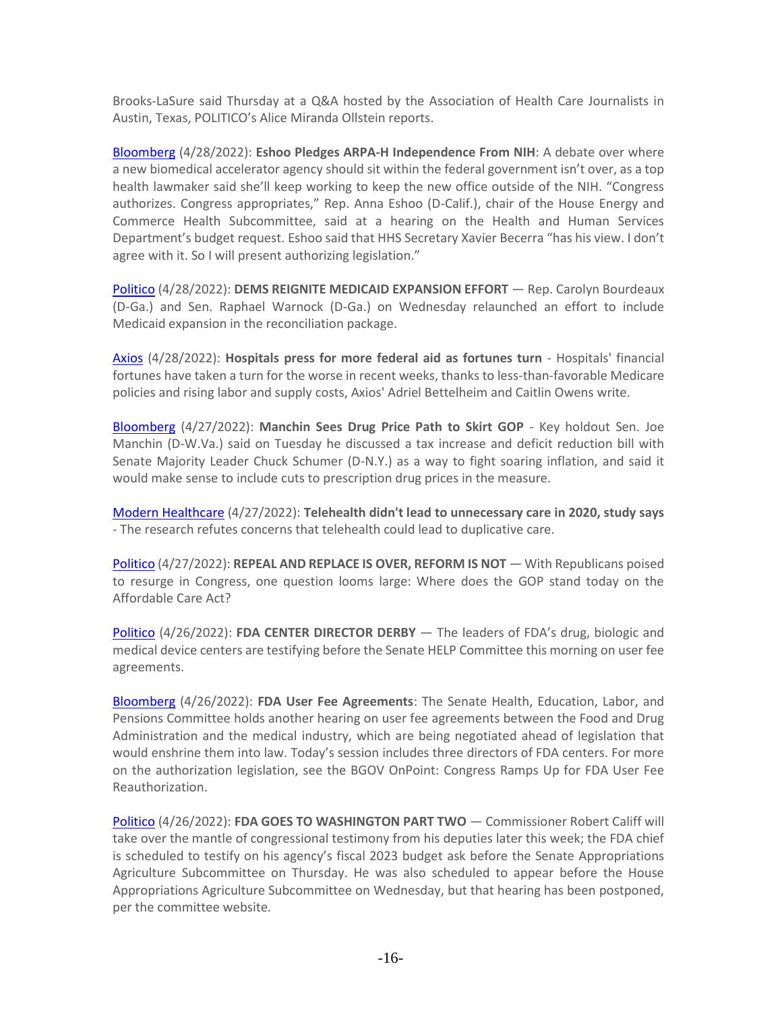Brooks-LaSure said Thursday at a Q&A hosted by the Association of Health Care Journalists in Austin, Texas, POLITICO's Alice Miranda Ollstein reports.

[Bloomberg](https://protect-us.mimecast.com/s/I_OMCwpE2GFOBJyBiRrXfz) (4/28/2022): **Eshoo Pledges ARPA-H Independence From NIH**: A debate over where a new biomedical accelerator agency should sit within the federal government isn't over, as a top health lawmaker said she'll keep working to keep the new office outside of the NIH. "Congress authorizes. Congress appropriates," Rep. Anna Eshoo (D-Calif.), chair of the House Energy and Commerce Health Subcommittee, said at a hearing on the Health and Human Services Department's budget request. Eshoo said that HHS Secretary Xavier Becerra "has his view. I don't agree with it. So I will present authorizing legislation."

[Politico](https://protect-us.mimecast.com/s/YSubCn5Y7vSy8LqOhNOCnX) (4/28/2022): **DEMS REIGNITE MEDICAID EXPANSION EFFORT** — Rep. Carolyn Bourdeaux (D-Ga.) and Sen. Raphael Warnock (D-Ga.) on Wednesday relaunched an effort to include Medicaid expansion in the reconciliation package.

[Axios](https://protect-us.mimecast.com/s/-EQUCYEQrOt0rMNDI3HWE8) (4/28/2022): **Hospitals press for more federal aid as fortunes turn** - Hospitals' financial fortunes have taken a turn for the worse in recent weeks, thanks to less-than-favorable Medicare policies and rising labor and supply costs, Axios' Adriel Bettelheim and Caitlin Owens write.

[Bloomberg](https://protect-us.mimecast.com/s/6_JRCKrYzwsAV9RrtGMPsb) (4/27/2022): **Manchin Sees Drug Price Path to Skirt GOP** - Key holdout Sen. Joe Manchin (D-W.Va.) said on Tuesday he discussed a tax increase and deficit reduction bill with Senate Majority Leader Chuck Schumer (D-N.Y.) as a way to fight soaring inflation, and said it would make sense to include cuts to prescription drug prices in the measure.

[Modern Healthcare](https://protect-us.mimecast.com/s/oVKxCJ6YzvF4Ngx3IV5h5Dh) (4/27/2022): **Telehealth didn't lead to unnecessary care in 2020, study says** - The research refutes concerns that telehealth could lead to duplicative care.

[Politico](https://protect-us.mimecast.com/s/3sTNCYEQrOt0roBLUK0WJ_) (4/27/2022): **REPEAL AND REPLACE IS OVER, REFORM IS NOT** — With Republicans poised to resurge in Congress, one question looms large: Where does the GOP stand today on the Affordable Care Act?

[Politico](https://protect-us.mimecast.com/s/nyAmCqxV6yh4qPLOhQhL4B) (4/26/2022): **FDA CENTER DIRECTOR DERBY** — The leaders of FDA's drug, biologic and medical device centers are testifying before the Senate HELP Committee this morning on user fee agreements.

[Bloomberg](https://protect-us.mimecast.com/s/vbtWCDkY6mT62914Ivyevm) (4/26/2022): **FDA User Fee Agreements**: The Senate Health, Education, Labor, and Pensions Committee holds another hearing on user fee agreements between the Food and Drug Administration and the medical industry, which are being negotiated ahead of legislation that would enshrine them into law. Today's session includes three directors of FDA centers. For more on the authorization legislation, see the BGOV OnPoint: Congress Ramps Up for FDA User Fee Reauthorization.

[Politico](https://protect-us.mimecast.com/s/nyAmCqxV6yh4qPLOhQhL4B) (4/26/2022): **FDA GOES TO WASHINGTON PART TWO** — Commissioner Robert Califf will take over the mantle of congressional testimony from his deputies later this week; the FDA chief is scheduled to testify on his agency's fiscal 2023 budget ask before the Senate Appropriations Agriculture Subcommittee on Thursday. He was also scheduled to appear before the House Appropriations Agriculture Subcommittee on Wednesday, but that hearing has been postponed, per the committee website.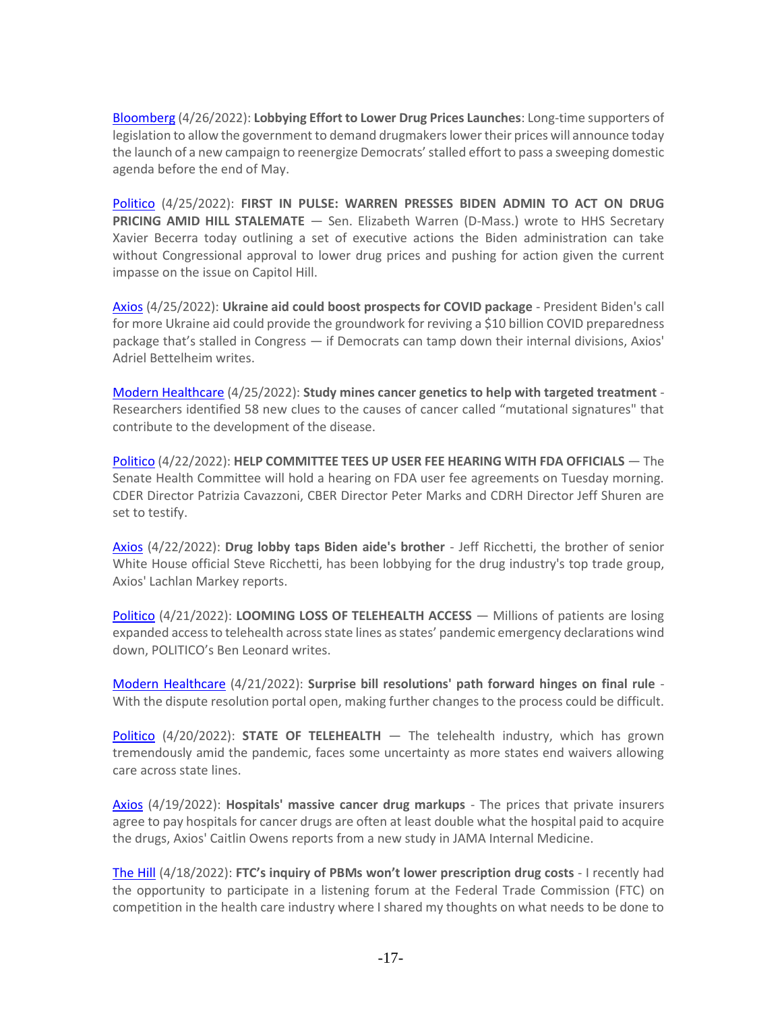[Bloomberg](https://protect-us.mimecast.com/s/pL1QCpYRBxHlr2GYFPPnp5) (4/26/2022): **Lobbying Effort to Lower Drug Prices Launches**: Long-time supporters of legislation to allow the government to demand drugmakers lower their prices will announce today the launch of a new campaign to reenergize Democrats' stalled effort to pass a sweeping domestic agenda before the end of May.

[Politico](https://protect-us.mimecast.com/s/Mp6tC68mGPF32WLjFmu5Ve) (4/25/2022): **FIRST IN PULSE: WARREN PRESSES BIDEN ADMIN TO ACT ON DRUG PRICING AMID HILL STALEMATE** - Sen. Elizabeth Warren (D-Mass.) wrote to HHS Secretary Xavier Becerra today outlining a set of executive actions the Biden administration can take without Congressional approval to lower drug prices and pushing for action given the current impasse on the issue on Capitol Hill.

[Axios](https://protect-us.mimecast.com/s/P1f1CL9Y0xsoxvZVHm7Q7E) (4/25/2022): **Ukraine aid could boost prospects for COVID package** - President Biden's call for more Ukraine aid could provide the groundwork for reviving a \$10 billion COVID preparedness package that's stalled in Congress — if Democrats can tamp down their internal divisions, Axios' Adriel Bettelheim writes.

[Modern Healthcare](https://protect-us.mimecast.com/s/2zXNC2kg2LTxqj41in53wQn) (4/25/2022): **Study mines cancer genetics to help with targeted treatment** - Researchers identified 58 new clues to the causes of cancer called "mutational signatures" that contribute to the development of the disease.

[Politico](https://protect-us.mimecast.com/s/rqcMCqxV6yh45A31HQQywb) (4/22/2022): **HELP COMMITTEE TEES UP USER FEE HEARING WITH FDA OFFICIALS** — The Senate Health Committee will hold a hearing on FDA user fee agreements on Tuesday morning. CDER Director Patrizia Cavazzoni, CBER Director Peter Marks and CDRH Director Jeff Shuren are set to testify.

[Axios](https://protect-us.mimecast.com/s/gu6xCxkV8JTGA6QKtwIqpm) (4/22/2022): **Drug lobby taps Biden aide's brother** - Jeff Ricchetti, the brother of senior White House official Steve Ricchetti, has been lobbying for the drug industry's top trade group, Axios' Lachlan Markey reports.

[Politico](https://protect-us.mimecast.com/s/gdc7COYELAHPKLXyhjd_BU) (4/21/2022): **LOOMING LOSS OF TELEHEALTH ACCESS** — Millions of patients are losing expanded access to telehealth across state lines as states' pandemic emergency declarations wind down, POLITICO's Ben Leonard writes.

[Modern Healthcare](https://protect-us.mimecast.com/s/RByFCW6wpMFpBVl0t6Kv-1m) (4/21/2022): **Surprise bill resolutions' path forward hinges on final rule** - With the dispute resolution portal open, making further changes to the process could be difficult.

[Politico](https://protect-us.mimecast.com/s/0iEgC4xkVNhj16lkCBg0cq) (4/20/2022): **STATE OF TELEHEALTH** — The telehealth industry, which has grown tremendously amid the pandemic, faces some uncertainty as more states end waivers allowing care across state lines.

[Axios](https://protect-us.mimecast.com/s/BAxUCPNMgBFDkEXLhjpbBE) (4/19/2022): **Hospitals' massive cancer drug markups** - The prices that private insurers agree to pay hospitals for cancer drugs are often at least double what the hospital paid to acquire the drugs, Axios' Caitlin Owens reports from a new study in JAMA Internal Medicine.

[The Hill](https://thehill.com/blogs/congress-blog/3272225-ftcs-inquiry-of-pbms-wont-lower-prescription-drug-costs/) (4/18/2022): **FTC's inquiry of PBMs won't lower prescription drug costs** - I recently had the opportunity to participate in a listening forum at the Federal Trade Commission (FTC) on competition in the health care industry where I shared my thoughts on what needs to be done to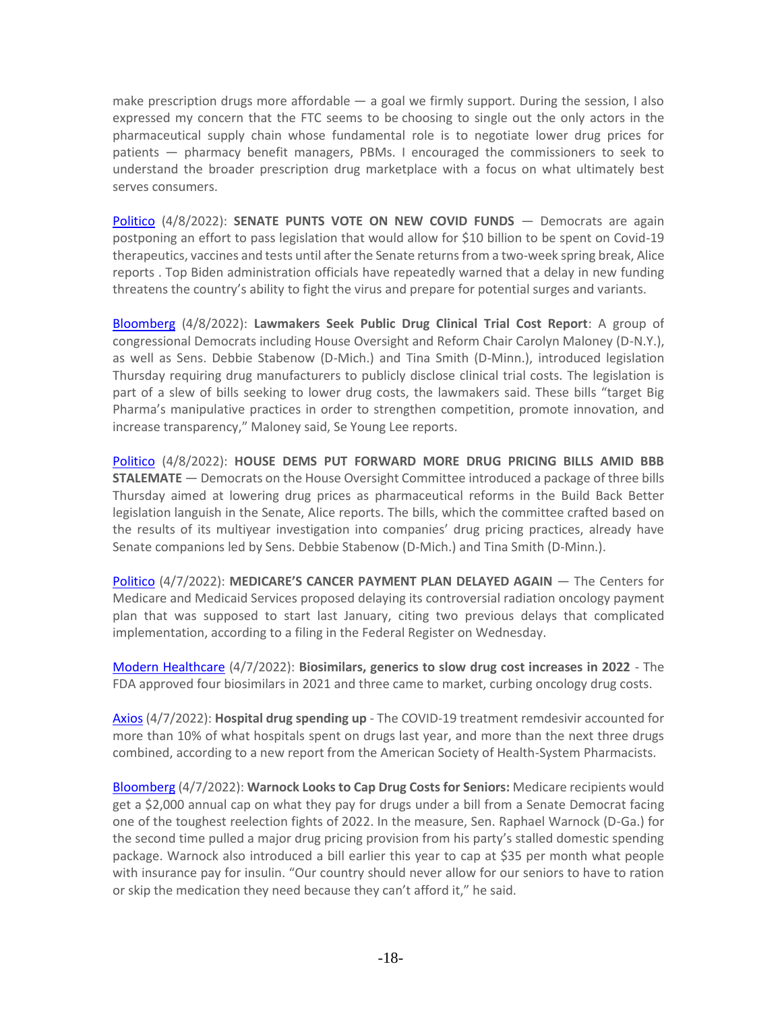make prescription drugs more affordable  $-$  a goal we firmly support. During the session, I also expressed my concern that the FTC seems to be choosing to single out the only actors in the pharmaceutical supply chain whose fundamental role is to negotiate lower drug prices for patients — pharmacy benefit managers, PBMs. I encouraged the commissioners to seek to understand the broader prescription drug marketplace with a focus on what ultimately best serves consumers.

[Politico](https://protect-us.mimecast.com/s/w1MmCBB8OkhZr4mkUN1Yn3) (4/8/2022): **SENATE PUNTS VOTE ON NEW COVID FUNDS** — Democrats are again postponing an effort to pass legislation that would allow for \$10 billion to be spent on Covid-19 therapeutics, vaccines and tests until after the Senate returns from a two-week spring break, Alice reports . Top Biden administration officials have repeatedly warned that a delay in new funding threatens the country's ability to fight the virus and prepare for potential surges and variants.

[Bloomberg](https://protect-us.mimecast.com/s/KwO4Cn5Y7vSy2oX5C1bQo7) (4/8/2022): **Lawmakers Seek Public Drug Clinical Trial Cost Report**: A group of congressional Democrats including House Oversight and Reform Chair Carolyn Maloney (D-N.Y.), as well as Sens. Debbie Stabenow (D-Mich.) and Tina Smith (D-Minn.), introduced legislation Thursday requiring drug manufacturers to publicly disclose clinical trial costs. The legislation is part of a slew of bills seeking to lower drug costs, the lawmakers said. These bills "target Big Pharma's manipulative practices in order to strengthen competition, promote innovation, and increase transparency," Maloney said, Se Young Lee reports.

[Politico](https://protect-us.mimecast.com/s/w1MmCBB8OkhZr4mkUN1Yn3) (4/8/2022): **HOUSE DEMS PUT FORWARD MORE DRUG PRICING BILLS AMID BBB STALEMATE** — Democrats on the House Oversight Committee introduced a package of three bills Thursday aimed at lowering drug prices as pharmaceutical reforms in the Build Back Better legislation languish in the Senate, Alice reports. The bills, which the committee crafted based on the results of its multiyear investigation into companies' drug pricing practices, already have Senate companions led by Sens. Debbie Stabenow (D-Mich.) and Tina Smith (D-Minn.).

[Politico](https://protect-us.mimecast.com/s/i8WCC0R2EJsE5XGPT24aUh) (4/7/2022): **MEDICARE'S CANCER PAYMENT PLAN DELAYED AGAIN** — The Centers for Medicare and Medicaid Services proposed delaying its controversial radiation oncology payment plan that was supposed to start last January, citing two previous delays that complicated implementation, according to a filing in the Federal Register on Wednesday.

[Modern Healthcare](https://protect-us.mimecast.com/s/auaiCn5Y7vSy2kqpu9LJsS3) (4/7/2022): **Biosimilars, generics to slow drug cost increases in 2022** - The FDA approved four biosimilars in 2021 and three came to market, curbing oncology drug costs.

[Axios](https://protect-us.mimecast.com/s/MUGYCKrYzwsANjnohAMoWp) (4/7/2022): **Hospital drug spending up** - The COVID-19 treatment remdesivir accounted for more than 10% of what hospitals spent on drugs last year, and more than the next three drugs combined, according to a new report from the American Society of Health-System Pharmacists.

[Bloomberg](https://protect-us.mimecast.com/s/F1pBCZ6wvPFmL39gsRFFOz) (4/7/2022): **Warnock Looks to Cap Drug Costs for Seniors:** Medicare recipients would get a \$2,000 annual cap on what they pay for drugs under a bill from a Senate Democrat facing one of the toughest reelection fights of 2022. In the measure, Sen. Raphael Warnock (D-Ga.) for the second time pulled a major drug pricing provision from his party's stalled domestic spending package. Warnock also introduced a bill earlier this year to cap at \$35 per month what people with insurance pay for insulin. "Our country should never allow for our seniors to have to ration or skip the medication they need because they can't afford it," he said.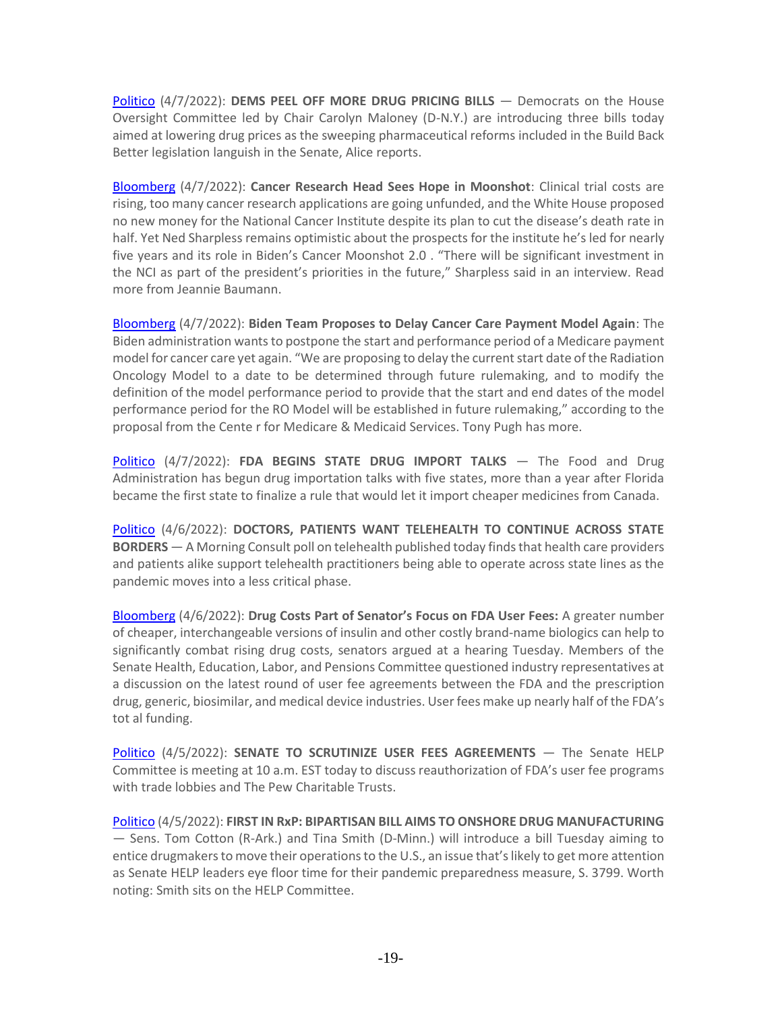[Politico](https://protect-us.mimecast.com/s/i8WCC0R2EJsE5XGPT24aUh) (4/7/2022): **DEMS PEEL OFF MORE DRUG PRICING BILLS** — Democrats on the House Oversight Committee led by Chair Carolyn Maloney (D-N.Y.) are introducing three bills today aimed at lowering drug prices as the sweeping pharmaceutical reforms included in the Build Back Better legislation languish in the Senate, Alice reports.

[Bloomberg](https://protect-us.mimecast.com/s/tIH4C5ylVOin7VL9cP3Nl7) (4/7/2022): **Cancer Research Head Sees Hope in Moonshot**: Clinical trial costs are rising, too many cancer research applications are going unfunded, and the White House proposed no new money for the National Cancer Institute despite its plan to cut the disease's death rate in half. Yet Ned Sharpless remains optimistic about the prospects for the institute he's led for nearly five years and its role in Biden's Cancer Moonshot 2.0 . "There will be significant investment in the NCI as part of the president's priorities in the future," Sharpless said in an interview. Read more from Jeannie Baumann.

[Bloomberg](https://protect-us.mimecast.com/s/fdkmC73nYQfPKO1NsG4J84) (4/7/2022): **Biden Team Proposes to Delay Cancer Care Payment Model Again**: The Biden administration wants to postpone the start and performance period of a Medicare payment model for cancer care yet again. "We are proposing to delay the current start date of the Radiation Oncology Model to a date to be determined through future rulemaking, and to modify the definition of the model performance period to provide that the start and end dates of the model performance period for the RO Model will be established in future rulemaking," according to the proposal from the Cente r for Medicare & Medicaid Services. Tony Pugh has more.

[Politico](https://protect-us.mimecast.com/s/brBRCwpE2GFOmEGrIBpmLe) (4/7/2022): **FDA BEGINS STATE DRUG IMPORT TALKS** — The Food and Drug Administration has begun drug importation talks with five states, more than a year after Florida became the first state to finalize a rule that would let it import cheaper medicines from Canada.

[Politico](https://protect-us.mimecast.com/s/rOPMCBB8OkhZrMj2iNz_kB) (4/6/2022): **DOCTORS, PATIENTS WANT TELEHEALTH TO CONTINUE ACROSS STATE BORDERS** — A Morning Consult poll on telehealth published today finds that health care providers and patients alike support telehealth practitioners being able to operate across state lines as the pandemic moves into a less critical phase.

[Bloomberg](https://protect-us.mimecast.com/s/CrK-CL9Y0xsorkn4HJakml) (4/6/2022): **Drug Costs Part of Senator's Focus on FDA User Fees:** A greater number of cheaper, interchangeable versions of insulin and other costly brand-name biologics can help to significantly combat rising drug costs, senators argued at a hearing Tuesday. Members of the Senate Health, Education, Labor, and Pensions Committee questioned industry representatives at a discussion on the latest round of user fee agreements between the FDA and the prescription drug, generic, biosimilar, and medical device industries. User fees make up nearly half of the FDA's tot al funding.

[Politico](https://protect-us.mimecast.com/s/UG4FCzpBQLFPy1AmugM2Fa) (4/5/2022): **SENATE TO SCRUTINIZE USER FEES AGREEMENTS** — The Senate HELP Committee is meeting at 10 a.m. EST today to discuss reauthorization of FDA's user fee programs with trade lobbies and The Pew Charitable Trusts.

[Politico](https://protect-us.mimecast.com/s/UG4FCzpBQLFPy1AmugM2Fa) (4/5/2022): **FIRST IN RxP: BIPARTISAN BILL AIMS TO ONSHORE DRUG MANUFACTURING** — Sens. Tom Cotton (R-Ark.) and Tina Smith (D-Minn.) will introduce a bill Tuesday aiming to entice drugmakers to move their operations to the U.S., an issue that's likely to get more attention as Senate HELP leaders eye floor time for their pandemic preparedness measure, S. 3799. Worth noting: Smith sits on the HELP Committee.